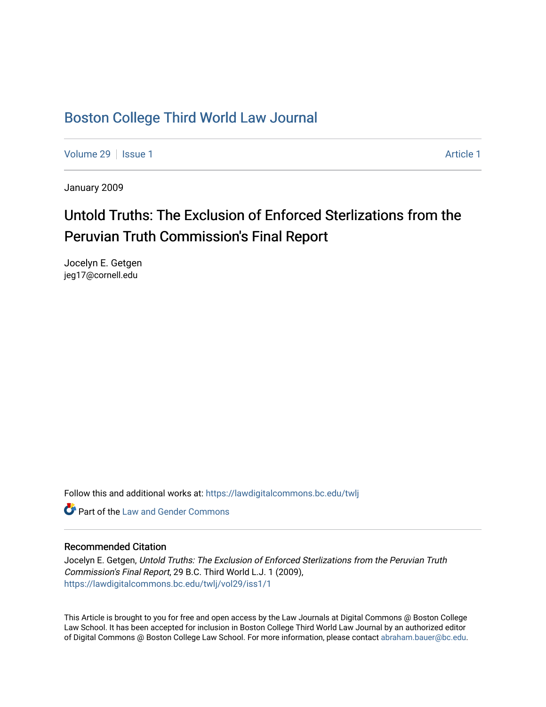## [Boston College Third World Law Journal](https://lawdigitalcommons.bc.edu/twlj)

[Volume 29](https://lawdigitalcommons.bc.edu/twlj/vol29) | [Issue 1](https://lawdigitalcommons.bc.edu/twlj/vol29/iss1) [Article 1](https://lawdigitalcommons.bc.edu/twlj/vol29/iss1/1) Article 1 Article 1 Article 1 Article 1 Article 1 Article 1 Article 1 Article 1

January 2009

# Untold Truths: The Exclusion of Enforced Sterlizations from the Peruvian Truth Commission's Final Report

Jocelyn E. Getgen jeg17@cornell.edu

Follow this and additional works at: [https://lawdigitalcommons.bc.edu/twlj](https://lawdigitalcommons.bc.edu/twlj?utm_source=lawdigitalcommons.bc.edu%2Ftwlj%2Fvol29%2Fiss1%2F1&utm_medium=PDF&utm_campaign=PDFCoverPages) 

**C** Part of the Law and Gender Commons

## Recommended Citation

Jocelyn E. Getgen, Untold Truths: The Exclusion of Enforced Sterlizations from the Peruvian Truth Commission's Final Report, 29 B.C. Third World L.J. 1 (2009), [https://lawdigitalcommons.bc.edu/twlj/vol29/iss1/1](https://lawdigitalcommons.bc.edu/twlj/vol29/iss1/1?utm_source=lawdigitalcommons.bc.edu%2Ftwlj%2Fvol29%2Fiss1%2F1&utm_medium=PDF&utm_campaign=PDFCoverPages) 

This Article is brought to you for free and open access by the Law Journals at Digital Commons @ Boston College Law School. It has been accepted for inclusion in Boston College Third World Law Journal by an authorized editor of Digital Commons @ Boston College Law School. For more information, please contact [abraham.bauer@bc.edu.](mailto:abraham.bauer@bc.edu)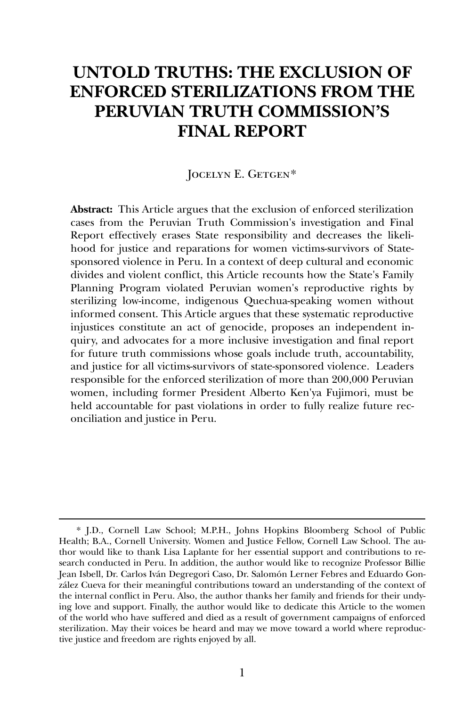## **UNTOLD TRUTHS: THE EXCLUSION OF ENFORCED STERILIZATIONS FROM THE PERUVIAN TRUTH COMMISSION'S FINAL REPORT**

## JOCELYN E. GETGEN[\\*](#page-1-0)

**Abstract:** This Article argues that the exclusion of enforced sterilization cases from the Peruvian Truth Commission's investigation and Final Report effectively erases State responsibility and decreases the likelihood for justice and reparations for women victims-survivors of Statesponsored violence in Peru. In a context of deep cultural and economic divides and violent conflict, this Article recounts how the State's Family Planning Program violated Peruvian women's reproductive rights by sterilizing low-income, indigenous Quechua-speaking women without informed consent. This Article argues that these systematic reproductive injustices constitute an act of genocide, proposes an independent inquiry, and advocates for a more inclusive investigation and final report for future truth commissions whose goals include truth, accountability, and justice for all victims-survivors of state-sponsored violence. Leaders responsible for the enforced sterilization of more than 200,000 Peruvian women, including former President Alberto Ken'ya Fujimori, must be held accountable for past violations in order to fully realize future reconciliation and justice in Peru.

<span id="page-1-0"></span><sup>\*</sup> J.D., Cornell Law School; M.P.H., Johns Hopkins Bloomberg School of Public Health; B.A., Cornell University. Women and Justice Fellow, Cornell Law School. The author would like to thank Lisa Laplante for her essential support and contributions to research conducted in Peru. In addition, the author would like to recognize Professor Billie Jean Isbell, Dr. Carlos Iván Degregori Caso, Dr. Salomón Lerner Febres and Eduardo González Cueva for their meaningful contributions toward an understanding of the context of the internal conflict in Peru. Also, the author thanks her family and friends for their undying love and support. Finally, the author would like to dedicate this Article to the women of the world who have suffered and died as a result of government campaigns of enforced sterilization. May their voices be heard and may we move toward a world where reproductive justice and freedom are rights enjoyed by all.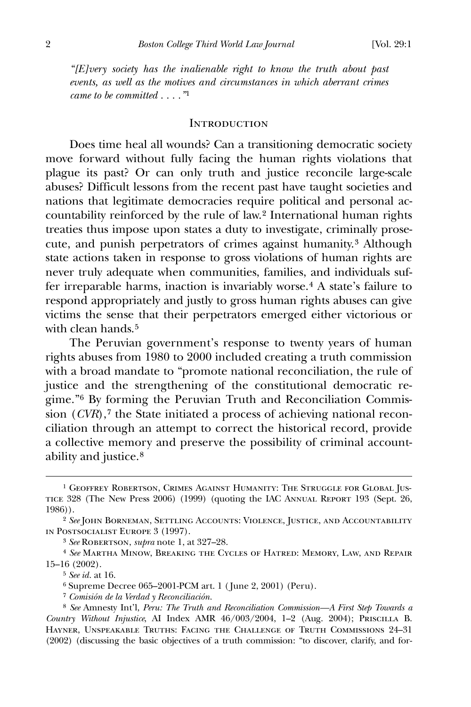*"[E]very society has the inalienable right to know the truth about past events, as well as the motives and circumstances in which aberrant crimes came to be committed . . . ."*[1](#page-2-0)

#### **INTRODUCTION**

 Does time heal all wounds? Can a transitioning democratic society move forward without fully facing the human rights violations that plague its past? Or can only truth and justice reconcile large-scale abuses? Difficult lessons from the recent past have taught societies and nations that legitimate democracies require political and personal accountability reinforced by the rule of law.[2](#page-2-1) International human rights treaties thus impose upon states a duty to investigate, criminally prosecute, and punish perpetrators of crimes against humanity.[3](#page-2-2) Although state actions taken in response to gross violations of human rights are never truly adequate when communities, families, and individuals suffer irreparable harms, inaction is invariably worse.[4](#page-2-3) A state's failure to respond appropriately and justly to gross human rights abuses can give victims the sense that their perpetrators emerged either victorious or with clean hands.<sup>[5](#page-2-4)</sup>

 The Peruvian government's response to twenty years of human rights abuses from 1980 to 2000 included creating a truth commission with a broad mandate to "promote national reconciliation, the rule of justice and the strengthening of the constitutional democratic regime."[6](#page-2-5) By forming the Peruvian Truth and Reconciliation Commission (*CVR*),<sup>[7](#page-2-6)</sup> the State initiated a process of achieving national reconciliation through an attempt to correct the historical record, provide a collective memory and preserve the possibility of criminal accountability and justice.[8](#page-2-7)

<span id="page-2-0"></span><sup>&</sup>lt;sup>1</sup> Geoffrey Robertson, Crimes Against Humanity: The Struggle for Global Justice 328 (The New Press 2006) (1999) (quoting the IAC Annual Report 193 (Sept. 26, 1986)).

<span id="page-2-1"></span><sup>2</sup> *See* John Borneman, Settling Accounts: Violence, Justice, and Accountability in Postsocialist Europe 3 (1997).

<sup>3</sup> *See* Robertson, *supra* note 1, at 327–28.

<span id="page-2-4"></span><span id="page-2-3"></span><span id="page-2-2"></span><sup>4</sup> *See* Martha Minow, Breaking the Cycles of Hatred: Memory, Law, and Repair 15–16 (2002).

<sup>5</sup> *See id.* at 16.

<sup>6</sup> Supreme Decree 065–2001-PCM art. 1 ( June 2, 2001) (Peru).

<sup>7</sup> *Comisión de la Verdad y Reconciliación.*

<span id="page-2-7"></span><span id="page-2-6"></span><span id="page-2-5"></span><sup>8</sup> *See* Amnesty Int'l, *Peru: The Truth and Reconciliation Commission—A First Step Towards a Country Without Injustice*, AI Index AMR 46/003/2004, 1–2 (Aug. 2004); Priscilla B. Hayner, Unspeakable Truths: Facing the Challenge of Truth Commissions 24–31 (2002) (discussing the basic objectives of a truth commission: "to discover, clarify, and for-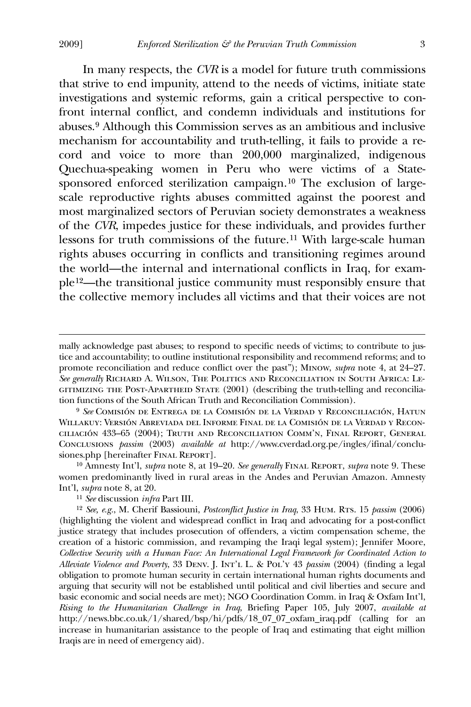$\overline{a}$ 

 In many respects, the *CVR* is a model for future truth commissions that strive to end impunity, attend to the needs of victims, initiate state investigations and systemic reforms, gain a critical perspective to confront internal conflict, and condemn individuals and institutions for abuses.[9](#page-3-0) Although this Commission serves as an ambitious and inclusive mechanism for accountability and truth-telling, it fails to provide a record and voice to more than 200,000 marginalized, indigenous Quechua-speaking women in Peru who were victims of a Statesponsored enforced sterilization campaign.[1](#page-3-1)0 The exclusion of largescale reproductive rights abuses committed against the poorest and most marginalized sectors of Peruvian society demonstrates a weakness of the *CVR*, impedes justice for these individuals, and provides further lessons for truth commissions of the future.[1](#page-3-2)1 With large-scale human rights abuses occurring in conflicts and transitioning regimes around the world—the internal and international conflicts in Iraq, for example[12](#page-3-3)—the transitional justice community must responsibly ensure that the collective memory includes all victims and that their voices are not

mally acknowledge past abuses; to respond to specific needs of victims; to contribute to justice and accountability; to outline institutional responsibility and recommend reforms; and to promote reconciliation and reduce conflict over the past"); Minow, *supra* note 4, at 24–27. *See generally* Richard A. Wilson, The Politics and Reconciliation in South Africa: Legitimizing the Post-Apartheid State (2001) (describing the truth-telling and reconciliation functions of the South African Truth and Reconciliation Commission).

<span id="page-3-0"></span><sup>9</sup> *See* Comisión de Entrega de la Comisión de la Verdad y Reconciliación, Hatun Willakuy: Versión Abreviada del Informe Final de la Comisión de la Verdad y Reconciliación 433–65 (2004); Truth and Reconciliation Comm'n, Final Report, General Conclusions *passim* (2003) *available at* http://www.cverdad.org.pe/ingles/ifinal/conclusiones.php [hereinafter Final Report].

<span id="page-3-1"></span><sup>10</sup> Amnesty Int'l, *supra* note 8, at 19–20. *See generally* Final Report, *supra* note 9. These women predominantly lived in rural areas in the Andes and Peruvian Amazon. Amnesty Int'l, *supra* note 8, at 20.

<sup>11</sup> *See* discussion *infra* Part III.

<span id="page-3-3"></span><span id="page-3-2"></span><sup>12</sup> *See, e.g.*, M. Cherif Bassiouni, *Postconflict Justice in Iraq*, 33 Hum. Rts. 15 *passim* (2006) (highlighting the violent and widespread conflict in Iraq and advocating for a post-conflict justice strategy that includes prosecution of offenders, a victim compensation scheme, the creation of a historic commission, and revamping the Iraqi legal system); Jennifer Moore, *Collective Security with a Human Face: An International Legal Framework for Coordinated Action to Alleviate Violence and Poverty*, 33 Denv. J. Int'l L. & Pol'y 43 *passim* (2004) (finding a legal obligation to promote human security in certain international human rights documents and arguing that security will not be established until political and civil liberties and secure and basic economic and social needs are met); NGO Coordination Comm. in Iraq & Oxfam Int'l, *Rising to the Humanitarian Challenge in Iraq*, Briefing Paper 105, July 2007, *available at* http://news.bbc.co.uk/1/shared/bsp/hi/pdfs/18\_07\_07\_oxfam\_iraq.pdf (calling for an increase in humanitarian assistance to the people of Iraq and estimating that eight million Iraqis are in need of emergency aid).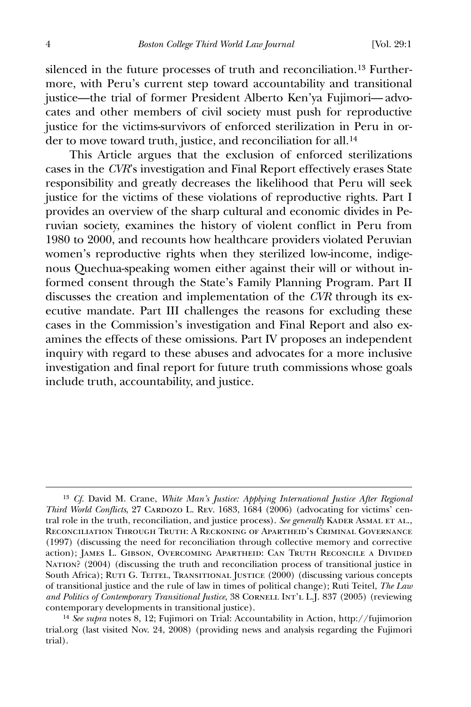silenced in the future processes of truth and reconciliation.[13](#page-4-0) Furthermore, with Peru's current step toward accountability and transitional justice—the trial of former President Alberto Ken'ya Fujimori— advocates and other members of civil society must push for reproductive justice for the victims-survivors of enforced sterilization in Peru in order to move toward truth, justice, and reconciliation for all.[1](#page-4-1)4

 This Article argues that the exclusion of enforced sterilizations cases in the *CVR*'s investigation and Final Report effectively erases State responsibility and greatly decreases the likelihood that Peru will seek justice for the victims of these violations of reproductive rights. Part I provides an overview of the sharp cultural and economic divides in Peruvian society, examines the history of violent conflict in Peru from 1980 to 2000, and recounts how healthcare providers violated Peruvian women's reproductive rights when they sterilized low-income, indigenous Quechua-speaking women either against their will or without informed consent through the State's Family Planning Program. Part II discusses the creation and implementation of the *CVR* through its executive mandate. Part III challenges the reasons for excluding these cases in the Commission's investigation and Final Report and also examines the effects of these omissions. Part IV proposes an independent inquiry with regard to these abuses and advocates for a more inclusive investigation and final report for future truth commissions whose goals include truth, accountability, and justice.

<span id="page-4-0"></span><sup>13</sup> *Cf.* David M. Crane, *White Man's Justice: Applying International Justice After Regional Third World Conflicts*, 27 CARDOZO L. REV. 1683, 1684 (2006) (advocating for victims' central role in the truth, reconciliation, and justice process). See generally KADER ASMAL ET AL., Reconciliation Through Truth: A Reckoning of Apartheid's Criminal Governance (1997) (discussing the need for reconciliation through collective memory and corrective action); James L. Gibson, Overcoming Apartheid: Can Truth Reconcile a Divided Nation? (2004) (discussing the truth and reconciliation process of transitional justice in South Africa); RUTI G. TEITEL, TRANSITIONAL JUSTICE (2000) (discussing various concepts of transitional justice and the rule of law in times of political change); Ruti Teitel, *The Law*  and Politics of Contemporary Transitional Justice, 38 CORNELL INT'L L.J. 837 (2005) (reviewing contemporary developments in transitional justice).

<span id="page-4-1"></span><sup>14</sup> *See supra* notes 8, 12; Fujimori on Trial: Accountability in Action, http://fujimorion trial.org (last visited Nov. 24, 2008) (providing news and analysis regarding the Fujimori trial).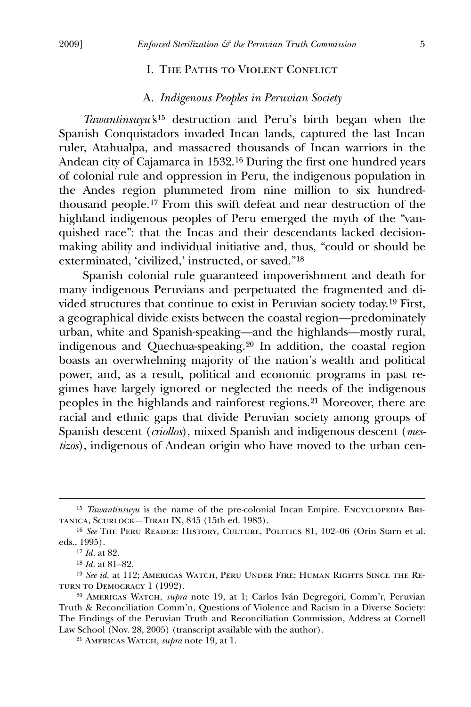## I. The Paths to Violent Conflict

## A. *Indigenous Peoples in Peruvian Society*

*Tawantinsuyu'*s[15](#page-5-0) destruction and Peru's birth began when the Spanish Conquistadors invaded Incan lands, captured the last Incan ruler, Atahualpa, and massacred thousands of Incan warriors in the Andean city of Cajamarca in 1532.[1](#page-5-1)6 During the first one hundred years of colonial rule and oppression in Peru, the indigenous population in the Andes region plummeted from nine million to six hundredthousand people.[1](#page-5-2)7 From this swift defeat and near destruction of the highland indigenous peoples of Peru emerged the myth of the "vanquished race": that the Incas and their descendants lacked decisionmaking ability and individual initiative and, thus, "could or should be exterminated, 'civilized,' instructed, or saved."[1](#page-5-3)8

 Spanish colonial rule guaranteed impoverishment and death for many indigenous Peruvians and perpetuated the fragmented and divided structures that continue to exist in Peruvian society today.[1](#page-5-4)9 First, a geographical divide exists between the coastal region—predominately urban, white and Spanish-speaking—and the highlands—mostly rural, indigenous and Quechua-speaking.[2](#page-5-5)0 In addition, the coastal region boasts an overwhelming majority of the nation's wealth and political power, and, as a result, political and economic programs in past regimes have largely ignored or neglected the needs of the indigenous peoples in the highlands and rainforest regions.[2](#page-5-6)1 Moreover, there are racial and ethnic gaps that divide Peruvian society among groups of Spanish descent (*criollos*), mixed Spanish and indigenous descent (*mestizos*), indigenous of Andean origin who have moved to the urban cen-

<span id="page-5-0"></span><sup>&</sup>lt;sup>15</sup> *Tawantinsuyu* is the name of the pre-colonial Incan Empire. ENCYCLOPEDIA BRItanica, Scurlock—Tirah IX, 845 (15th ed. 1983).

<span id="page-5-2"></span><span id="page-5-1"></span><sup>16</sup> *See* The Peru Reader: History, Culture, Politics 81, 102–06 (Orin Starn et al. eds., 1995).

<sup>17</sup> *Id.* at 82.

<sup>18</sup> *Id.* at 81–82.

<span id="page-5-4"></span><span id="page-5-3"></span><sup>19</sup> *See id.* at 112; Americas Watch, Peru Under Fire: Human Rights Since the Return to Democracy 1 (1992).

<span id="page-5-6"></span><span id="page-5-5"></span><sup>20</sup> Americas Watch, *supra* note 19, at 1; Carlos Iván Degregori, Comm'r, Peruvian Truth & Reconciliation Comm'n, Questions of Violence and Racism in a Diverse Society: The Findings of the Peruvian Truth and Reconciliation Commission, Address at Cornell Law School (Nov. 28, 2005) (transcript available with the author).

<sup>21</sup> Americas Watch, *supra* note 19, at 1.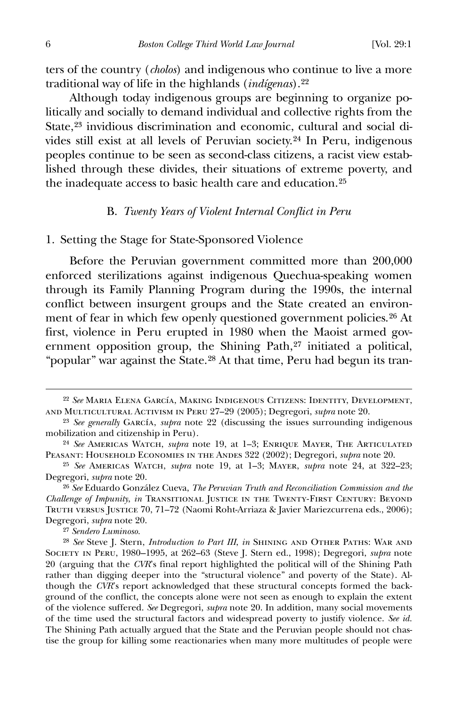ters of the country (*cholos*) and indigenous who continue to live a more traditional way of life in the highlands (*indígenas*).[22](#page-6-0)

 Although today indigenous groups are beginning to organize politically and socially to demand individual and collective rights from the State,<sup>[23](#page-6-1)</sup> invidious discrimination and economic, cultural and social divides still exist at all levels of Peruvian society.[2](#page-6-2)4 In Peru, indigenous peoples continue to be seen as second-class citizens, a racist view established through these divides, their situations of extreme poverty, and the inadequate access to basic health care and education.[2](#page-6-3)5

#### B. *Twenty Years of Violent Internal Conflict in Peru*

## 1. Setting the Stage for State-Sponsored Violence

 Before the Peruvian government committed more than 200,000 enforced sterilizations against indigenous Quechua-speaking women through its Family Planning Program during the 1990s, the internal conflict between insurgent groups and the State created an environment of fear in which few openly questioned government policies.[2](#page-6-4)6 At first, violence in Peru erupted in 1980 when the Maoist armed gov-ernment opposition group, the Shining Path,<sup>[27](#page-6-5)</sup> initiated a political, "popular" war against the State.[2](#page-6-6)8 At that time, Peru had begun its tran-

27 *Sendero Luminoso.*

<span id="page-6-0"></span><sup>22</sup> *See* Maria Elena García, Making Indigenous Citizens: Identity, Development, and Multicultural Activism in Peru 27–29 (2005); Degregori, *supra* note 20.

<span id="page-6-1"></span><sup>23</sup> *See generally* García, *supra* note 22 (discussing the issues surrounding indigenous mobilization and citizenship in Peru).

<span id="page-6-2"></span><sup>24</sup> *See* Americas Watch, *supra* note 19, at 1–3; Enrique Mayer, The Articulated Peasant: Household Economies in the Andes 322 (2002); Degregori, *supra* note 20.

<span id="page-6-3"></span><sup>25</sup> *See* Americas Watch, *supra* note 19, at 1–3; Mayer, *supra* note 24, at 322–23; Degregori, *supra* note 20.

<span id="page-6-4"></span><sup>26</sup> *See* Eduardo González Cueva, *The Peruvian Truth and Reconciliation Commission and the Challenge of Impunity*, *in* Transitional Justice in the Twenty-First Century: Beyond Truth versus Justice 70, 71–72 (Naomi Roht-Arriaza & Javier Mariezcurrena eds., 2006); Degregori, *supra* note 20.

<span id="page-6-6"></span><span id="page-6-5"></span><sup>28</sup> *See* Steve J. Stern, *Introduction to Part III*, *in* Shining and Other Paths: War and Society in Peru, 1980–1995, at 262–63 (Steve J. Stern ed., 1998); Degregori, *supra* note 20 (arguing that the *CVR*'s final report highlighted the political will of the Shining Path rather than digging deeper into the "structural violence" and poverty of the State). Although the *CVR*'s report acknowledged that these structural concepts formed the background of the conflict, the concepts alone were not seen as enough to explain the extent of the violence suffered. *See* Degregori, *supra* note 20. In addition, many social movements of the time used the structural factors and widespread poverty to justify violence. *See id.* The Shining Path actually argued that the State and the Peruvian people should not chastise the group for killing some reactionaries when many more multitudes of people were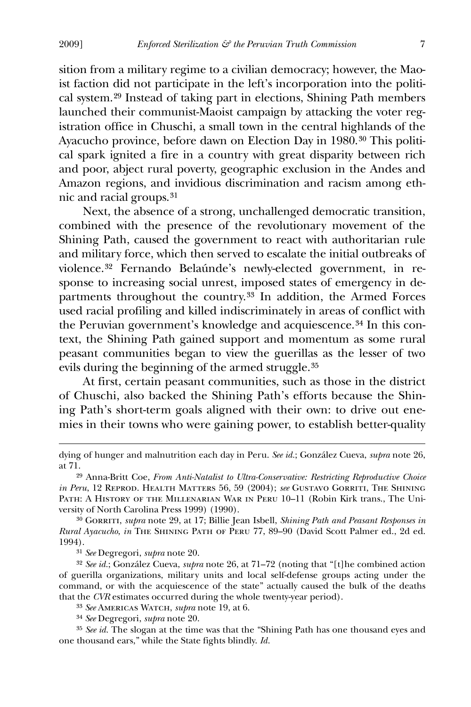sition from a military regime to a civilian democracy; however, the Maoist faction did not participate in the left's incorporation into the political system.[29](#page-7-0) Instead of taking part in elections, Shining Path members launched their communist-Maoist campaign by attacking the voter registration office in Chuschi, a small town in the central highlands of the Ayacucho province, before dawn on Election Day in 1980.[3](#page-7-1)0 This political spark ignited a fire in a country with great disparity between rich and poor, abject rural poverty, geographic exclusion in the Andes and Amazon regions, and invidious discrimination and racism among ethnic and racial groups.[31](#page-7-2)

 Next, the absence of a strong, unchallenged democratic transition, combined with the presence of the revolutionary movement of the Shining Path, caused the government to react with authoritarian rule and military force, which then served to escalate the initial outbreaks of violence.[32](#page-7-3) Fernando Belaúnde's newly-elected government, in response to increasing social unrest, imposed states of emergency in departments throughout the country.[33](#page-7-4) In addition, the Armed Forces used racial profiling and killed indiscriminately in areas of conflict with the Peruvian government's knowledge and acquiescence.[3](#page-7-5)4 In this context, the Shining Path gained support and momentum as some rural peasant communities began to view the guerillas as the lesser of two evils during the beginning of the armed struggle.[35](#page-7-6)

 At first, certain peasant communities, such as those in the district of Chuschi, also backed the Shining Path's efforts because the Shining Path's short-term goals aligned with their own: to drive out enemies in their towns who were gaining power, to establish better-quality

<span id="page-7-1"></span><sup>30</sup> GORRITI, *supra* note 29, at 17; Billie Jean Isbell, *Shining Path and Peasant Responses in Rural Ayacucho*, *in* The Shining Path of Peru 77, 89–90 (David Scott Palmer ed., 2d ed. 1994).

31 *See* Degregori, *supra* note 20.

<span id="page-7-3"></span><span id="page-7-2"></span>32 *See id.*; González Cueva, *supra* note 26, at 71–72 (noting that "[t]he combined action of guerilla organizations, military units and local self-defense groups acting under the command, or with the acquiescence of the state" actually caused the bulk of the deaths that the *CVR* estimates occurred during the whole twenty-year period).

33 *See* Americas Watch, *supra* note 19, at 6.

34 *See* Degregori, *supra* note 20.

<span id="page-7-6"></span><span id="page-7-5"></span><span id="page-7-4"></span>35 *See id.* The slogan at the time was that the "Shining Path has one thousand eyes and one thousand ears," while the State fights blindly. *Id.*

dying of hunger and malnutrition each day in Peru. *See id.*; González Cueva, *supra* note 26, at 71.

<span id="page-7-0"></span><sup>29</sup> Anna-Britt Coe, *From Anti-Natalist to Ultra-Conservative: Restricting Reproductive Choice in Peru*, 12 Reprod. Health Matters 56, 59 (2004); *see* Gustavo Gorriti, The Shining PATH: A HISTORY OF THE MILLENARIAN WAR IN PERU 10-11 (Robin Kirk trans., The University of North Carolina Press 1999) (1990).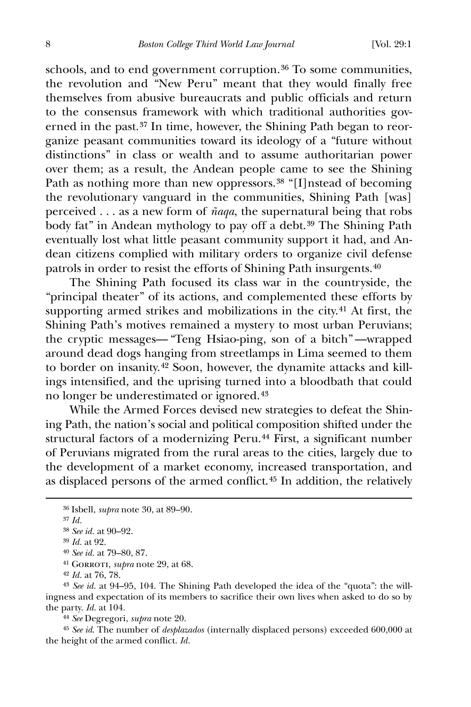schools, and to end government corruption.<sup>[3](#page-8-0)6</sup> To some communities, the revolution and "New Peru" meant that they would finally free themselves from abusive bureaucrats and public officials and return to the consensus framework with which traditional authorities governed in the past.[37](#page-8-1) In time, however, the Shining Path began to reorganize peasant communities toward its ideology of a "future without distinctions" in class or wealth and to assume authoritarian power over them; as a result, the Andean people came to see the Shining Path as nothing more than new oppressors.<sup>[3](#page-8-2)8</sup> "[I]nstead of becoming the revolutionary vanguard in the communities, Shining Path [was] perceived . . . as a new form of *ñaqa*, the supernatural being that robs body fat" in Andean mythology to pay off a debt.<sup>[39](#page-8-3)</sup> The Shining Path eventually lost what little peasant community support it had, and Andean citizens complied with military orders to organize civil defense patrols in order to resist the efforts of Shining Path insurgents.[40](#page-8-4)

 The Shining Path focused its class war in the countryside, the "principal theater" of its actions, and complemented these efforts by supporting armed strikes and mobilizations in the city.<sup>[41](#page-8-5)</sup> At first, the Shining Path's motives remained a mystery to most urban Peruvians; the cryptic messages— "Teng Hsiao-ping, son of a bitch" —wrapped around dead dogs hanging from streetlamps in Lima seemed to them to border on insanity.[4](#page-8-6)2 Soon, however, the dynamite attacks and killings intensified, and the uprising turned into a bloodbath that could no longer be underestimated or ignored.[43](#page-8-7)

 While the Armed Forces devised new strategies to defeat the Shining Path, the nation's social and political composition shifted under the structural factors of a modernizing Peru.[44](#page-8-8) First, a significant number of Peruvians migrated from the rural areas to the cities, largely due to the development of a market economy, increased transportation, and as displaced persons of the armed conflict.[4](#page-8-9)5 In addition, the relatively

<span id="page-8-2"></span><span id="page-8-1"></span><span id="page-8-0"></span> $\overline{a}$ 

<span id="page-8-9"></span><span id="page-8-8"></span>45 *See id*. The number of *desplazados* (internally displaced persons) exceeded 600,000 at the height of the armed conflict. *Id.*

<sup>36</sup> Isbell, *supra* note 30, at 89–90.

<sup>37</sup> *Id.*

<sup>38</sup> *See id.* at 90–92.

<span id="page-8-3"></span><sup>39</sup> *Id.* at 92.

<sup>40</sup> *See id.* at 79–80, 87.

<sup>41</sup> Gorroti, *supra* note 29, at 68.

<sup>42</sup> *Id.* at 76, 78.

<span id="page-8-7"></span><span id="page-8-6"></span><span id="page-8-5"></span><span id="page-8-4"></span><sup>43</sup> *See id.* at 94–95, 104. The Shining Path developed the idea of the "quota": the willingness and expectation of its members to sacrifice their own lives when asked to do so by the party. *Id.* at 104.

<sup>44</sup> *See* Degregori, *supra* note 20.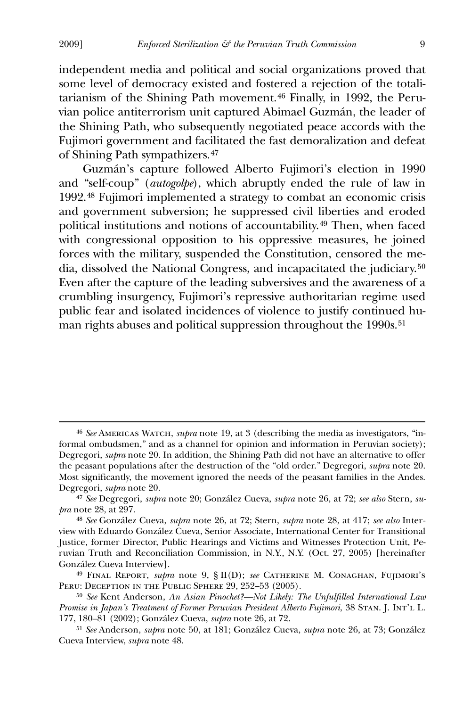independent media and political and social organizations proved that some level of democracy existed and fostered a rejection of the totalitarianism of the Shining Path movement.[4](#page-9-0)6 Finally, in 1992, the Peruvian police antiterrorism unit captured Abimael Guzmán, the leader of the Shining Path, who subsequently negotiated peace accords with the Fujimori government and facilitated the fast demoralization and defeat of Shining Path sympathizers.[47](#page-9-1)

 Guzmán's capture followed Alberto Fujimori's election in 1990 and "self-coup" (*autogolpe*), which abruptly ended the rule of law in 1992.[4](#page-9-2)8 Fujimori implemented a strategy to combat an economic crisis and government subversion; he suppressed civil liberties and eroded political institutions and notions of accountability.[49](#page-9-3) Then, when faced with congressional opposition to his oppressive measures, he joined forces with the military, suspended the Constitution, censored the media, dissolved the National Congress, and incapacitated the judiciary.[50](#page-9-4) Even after the capture of the leading subversives and the awareness of a crumbling insurgency, Fujimori's repressive authoritarian regime used public fear and isolated incidences of violence to justify continued hu-man rights abuses and political suppression throughout the 1990s.<sup>[51](#page-9-5)</sup>

<span id="page-9-0"></span><sup>46</sup> *See* Americas Watch, *supra* note 19, at 3 (describing the media as investigators, "informal ombudsmen," and as a channel for opinion and information in Peruvian society); Degregori, *supra* note 20. In addition, the Shining Path did not have an alternative to offer the peasant populations after the destruction of the "old order." Degregori, *supra* note 20. Most significantly, the movement ignored the needs of the peasant families in the Andes. Degregori, *supra* note 20.

<span id="page-9-1"></span><sup>47</sup> *See* Degregori, *supra* note 20; González Cueva, *supra* note 26, at 72; *see also* Stern, *supra* note 28, at 297.

<span id="page-9-2"></span><sup>48</sup> *See* González Cueva, *supra* note 26, at 72; Stern, *supra* note 28, at 417; *see also* Interview with Eduardo González Cueva, Senior Associate, International Center for Transitional Justice, former Director, Public Hearings and Victims and Witnesses Protection Unit, Peruvian Truth and Reconciliation Commission, in N.Y., N.Y. (Oct. 27, 2005) [hereinafter González Cueva Interview].

<span id="page-9-3"></span><sup>49</sup> Final Report, *supra* note 9, § II(D); *see* Catherine M. Conaghan, Fujimori's PERU: DECEPTION IN THE PUBLIC SPHERE 29, 252-53 (2005).

<span id="page-9-4"></span><sup>50</sup> *See* Kent Anderson, *An Asian Pinochet?—Not Likely: The Unfulfilled International Law Promise in Japan's Treatment of Former Peruvian President Alberto Fujimori*, 38 Stan. J. Int'l L. 177, 180–81 (2002); González Cueva, *supra* note 26, at 72.

<span id="page-9-5"></span><sup>51</sup> *See* Anderson, *supra* note 50, at 181; González Cueva, *supra* note 26, at 73; González Cueva Interview, *supra* note 48.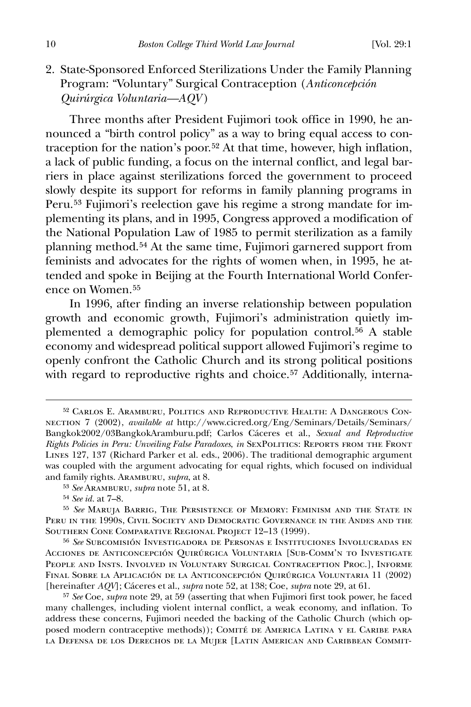2. State-Sponsored Enforced Sterilizations Under the Family Planning Program: "Voluntary" Surgical Contraception (*Anticoncepción Quirúrgica Voluntaria—AQV* )

 Three months after President Fujimori took office in 1990, he announced a "birth control policy" as a way to bring equal access to contraception for the nation's poor.[52](#page-10-0) At that time, however, high inflation, a lack of public funding, a focus on the internal conflict, and legal barriers in place against sterilizations forced the government to proceed slowly despite its support for reforms in family planning programs in Peru.[5](#page-10-1)3 Fujimori's reelection gave his regime a strong mandate for implementing its plans, and in 1995, Congress approved a modification of the National Population Law of 1985 to permit sterilization as a family planning method.[5](#page-10-2)4 At the same time, Fujimori garnered support from feminists and advocates for the rights of women when, in 1995, he attended and spoke in Beijing at the Fourth International World Conference on Women.[5](#page-10-3)5

 In 1996, after finding an inverse relationship between population growth and economic growth, Fujimori's administration quietly implemented a demographic policy for population control.[5](#page-10-4)6 A stable economy and widespread political support allowed Fujimori's regime to openly confront the Catholic Church and its strong political positions with regard to reproductive rights and choice.<sup>[57](#page-10-5)</sup> Additionally, interna-

<span id="page-10-0"></span><sup>52</sup> Carlos E. Aramburu, Politics and Reproductive Health: A Dangerous Connection 7 (2002), *available at* http://www.cicred.org/Eng/Seminars/Details/Seminars/ Bangkok2002/03BangkokAramburu.pdf; Carlos Cáceres et al., *Sexual and Reproductive Rights Policies in Peru: Unveiling False Paradoxes*, *in* SexPolitics: Reports from the Front Lines 127, 137 (Richard Parker et al. eds., 2006). The traditional demographic argument was coupled with the argument advocating for equal rights, which focused on individual and family rights. Aramburu, *supra*, at 8.

<sup>53</sup> *See* Aramburu, *supra* note 51, at 8.

<sup>54</sup> *See id.* at 7–8.

<span id="page-10-3"></span><span id="page-10-2"></span><span id="page-10-1"></span><sup>55</sup> *See* Maruja Barrig, The Persistence of Memory: Feminism and the State in Peru in the 1990s, Civil Society and Democratic Governance in the Andes and the Southern Cone Comparative Regional Project 12–13 (1999).

<span id="page-10-4"></span><sup>56</sup> *See* Subcomisión Investigadora de Personas e Instituciones Involucradas en Acciones de Anticoncepción Quirúrgica Voluntaria [Sub-Comm'n to Investigate People and Insts. Involved in Voluntary Surgical Contraception Proc.], Informe Final Sobre la Aplicación de la Anticoncepción Quirúrgica Voluntaria 11 (2002) [hereinafter *AQV*]; Cáceres et al., *supra* note 52, at 138; Coe, *supra* note 29, at 61.

<span id="page-10-5"></span><sup>57</sup> *See* Coe, *supra* note 29, at 59 (asserting that when Fujimori first took power, he faced many challenges, including violent internal conflict, a weak economy, and inflation. To address these concerns, Fujimori needed the backing of the Catholic Church (which opposed modern contraceptive methods)); COMITÉ DE AMERICA LATINA Y EL CARIBE PARA la Defensa de los Derechos de la Mujer [Latin American and Caribbean Commit-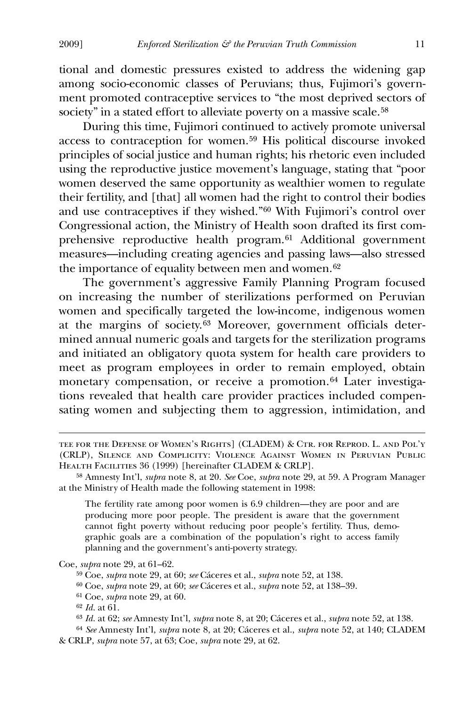tional and domestic pressures existed to address the widening gap among socio-economic classes of Peruvians; thus, Fujimori's government promoted contraceptive services to "the most deprived sectors of society" in a stated effort to alleviate poverty on a massive scale.<sup>[58](#page-11-0)</sup>

 During this time, Fujimori continued to actively promote universal access to contraception for women.[5](#page-11-1)9 His political discourse invoked principles of social justice and human rights; his rhetoric even included using the reproductive justice movement's language, stating that "poor women deserved the same opportunity as wealthier women to regulate their fertility, and [that] all women had the right to control their bodies and use contraceptives if they wished."[6](#page-11-2)0 With Fujimori's control over Congressional action, the Ministry of Health soon drafted its first com-prehensive reproductive health program.<sup>[61](#page-11-3)</sup> Additional government measures—including creating agencies and passing laws—also stressed the importance of equality between men and women.<sup>[62](#page-11-4)</sup>

 The government's aggressive Family Planning Program focused on increasing the number of sterilizations performed on Peruvian women and specifically targeted the low-income, indigenous women at the margins of society.[63](#page-11-5) Moreover, government officials determined annual numeric goals and targets for the sterilization programs and initiated an obligatory quota system for health care providers to meet as program employees in order to remain employed, obtain monetary compensation, or receive a promotion.<sup>[6](#page-11-6)4</sup> Later investigations revealed that health care provider practices included compensating women and subjecting them to aggression, intimidation, and

The fertility rate among poor women is 6.9 children—they are poor and are producing more poor people. The president is aware that the government cannot fight poverty without reducing poor people's fertility. Thus, demographic goals are a combination of the population's right to access family planning and the government's anti-poverty strategy.

<span id="page-11-3"></span><span id="page-11-2"></span><span id="page-11-1"></span>Coe, *supra* note 29, at 61–62.

59 Coe, *supra* note 29, at 60; *see* Cáceres et al., *supra* note 52, at 138.

60 Coe, *supra* note 29, at 60; *see* Cáceres et al., *supra* note 52, at 138–39.

61 Coe, *supra* note 29, at 60.

62 *Id.* at 61.

 $\overline{a}$ 

63 *Id.* at 62; *see* Amnesty Int'l, *supra* note 8, at 20; Cáceres et al., *supra* note 52, at 138.

<span id="page-11-6"></span><span id="page-11-5"></span><span id="page-11-4"></span>64 *See* Amnesty Int'l, *supra* note 8, at 20; Cáceres et al., *supra* note 52, at 140; CLADEM & CRLP, *supra* note 57, at 63; Coe, *supra* note 29, at 62.

tee for the Defense of Women's Rights] (CLADEM) & Ctr. for Reprod. L. and Pol'y (CRLP), Silence and Complicity: Violence Against Women in Peruvian Public HEALTH FACILITIES 36 (1999) [hereinafter CLADEM & CRLP].

<span id="page-11-0"></span><sup>58</sup> Amnesty Int'l, *supra* note 8, at 20. *See* Coe, *supra* note 29, at 59. A Program Manager at the Ministry of Health made the following statement in 1998: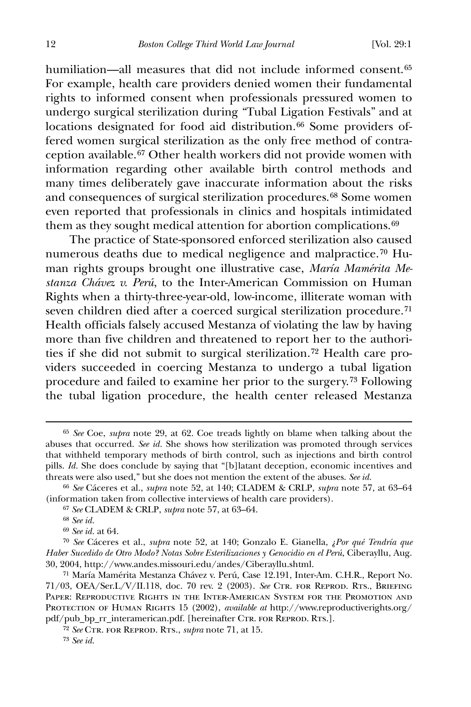humiliation—all measures that did not include informed consent.<sup>[6](#page-12-0)5</sup> For example, health care providers denied women their fundamental rights to informed consent when professionals pressured women to undergo surgical sterilization during "Tubal Ligation Festivals" and at locations designated for food aid distribution.<sup>[6](#page-12-1)6</sup> Some providers offered women surgical sterilization as the only free method of contraception available.[6](#page-12-2)7 Other health workers did not provide women with information regarding other available birth control methods and many times deliberately gave inaccurate information about the risks and consequences of surgical sterilization procedures.[6](#page-12-3)8 Some women even reported that professionals in clinics and hospitals intimidated them as they sought medical attention for abortion complications.<sup>[69](#page-12-4)</sup>

 The practice of State-sponsored enforced sterilization also caused numerous deaths due to medical negligence and malpractice.[70](#page-12-5) Human rights groups brought one illustrative case, *María Mamérita Mestanza Chávez v. Perú*, to the Inter-American Commission on Human Rights when a thirty-three-year-old, low-income, illiterate woman with seven children died after a coerced surgical sterilization procedure.[7](#page-12-6)1 Health officials falsely accused Mestanza of violating the law by having more than five children and threatened to report her to the authorities if she did not submit to surgical sterilization.[72](#page-12-7) Health care providers succeeded in coercing Mestanza to undergo a tubal ligation procedure and failed to examine her prior to the surgery.[7](#page-12-8)3 Following the tubal ligation procedure, the health center released Mestanza

<span id="page-12-0"></span><sup>65</sup> *See* Coe, *supra* note 29, at 62. Coe treads lightly on blame when talking about the abuses that occurred. *See id.* She shows how sterilization was promoted through services that withheld temporary methods of birth control, such as injections and birth control pills. *Id.* She does conclude by saying that "[b]latant deception, economic incentives and threats were also used," but she does not mention the extent of the abuses. *See id.*

<span id="page-12-2"></span><span id="page-12-1"></span><sup>66</sup> *See* Cáceres et al., *supra* note 52, at 140; CLADEM & CRLP, *supra* note 57, at 63–64 (information taken from collective interviews of health care providers).

<sup>67</sup> *See* CLADEM & CRLP, *supra* note 57, at 63–64.

<sup>68</sup> *See id.*

<sup>69</sup> *See id.* at 64.

<span id="page-12-5"></span><span id="page-12-4"></span><span id="page-12-3"></span><sup>70</sup> *See* Cáceres et al., *supra* note 52, at 140; Gonzalo E. Gianella, *¿Por qué Tendría que Haber Sucedido de Otro Modo? Notas Sobre Esterilizaciones y Genocidio en el Perú*, Ciberayllu, Aug. 30, 2004, http://www.andes.missouri.edu/andes/Ciberayllu.shtml.

<span id="page-12-6"></span><sup>71</sup> María Mamérita Mestanza Chávez v. Perú, Case 12.191, Inter-Am. C.H.R., Report No. 71/03, OEA/Ser.L/V/II.118, doc. 70 rev. 2 (2003). *See* Ctr. for Reprod. Rts., Briefing Paper: Reproductive Rights in the Inter-American System for the Promotion and PROTECTION OF HUMAN RIGHTS 15 (2002), *available at* http://www.reproductiverights.org/ pdf/pub\_bp\_rr\_interamerican.pdf. [hereinafter CTR. FOR REPROD. RTS.].

<span id="page-12-8"></span><span id="page-12-7"></span><sup>72</sup> *See* Ctr. for Reprod. Rts., *supra* note 71, at 15.

<sup>73</sup> *See id.*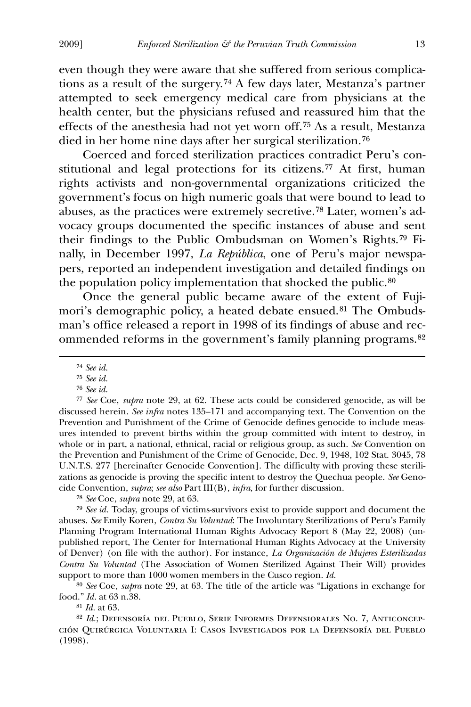even though they were aware that she suffered from serious complications as a result of the surgery.[74](#page-13-0) A few days later, Mestanza's partner attempted to seek emergency medical care from physicians at the health center, but the physicians refused and reassured him that the effects of the anesthesia had not yet worn off.[7](#page-13-1)5 As a result, Mestanza died in her home nine days after her surgical sterilization.[76](#page-13-2)

 Coerced and forced sterilization practices contradict Peru's constitutional and legal protections for its citizens.[77](#page-13-3) At first, human rights activists and non-governmental organizations criticized the government's focus on high numeric goals that were bound to lead to abuses, as the practices were extremely secretive.[7](#page-13-4)8 Later, women's advocacy groups documented the specific instances of abuse and sent their findings to the Public Ombudsman on Women's Rights.[79](#page-13-5) Finally, in December 1997, *La República*, one of Peru's major newspapers, reported an independent investigation and detailed findings on the population policy implementation that shocked the public.<sup>[8](#page-13-6)0</sup>

 Once the general public became aware of the extent of Fuji-mori's demographic policy, a heated debate ensued.<sup>[8](#page-13-7)1</sup> The Ombudsman's office released a report in 1998 of its findings of abuse and recommended reforms in the government's family planning programs.[82](#page-13-8)

<span id="page-13-0"></span> $\overline{a}$ 

76 *See id.*

<span id="page-13-3"></span><span id="page-13-2"></span><span id="page-13-1"></span>77 *See* Coe, *supra* note 29, at 62. These acts could be considered genocide, as will be discussed herein. *See infra* notes 135–171 and accompanying text. The Convention on the Prevention and Punishment of the Crime of Genocide defines genocide to include measures intended to prevent births within the group committed with intent to destroy, in whole or in part, a national, ethnical, racial or religious group, as such. *See* Convention on the Prevention and Punishment of the Crime of Genocide, Dec. 9, 1948, 102 Stat. 3045, 78 U.N.T.S. 277 [hereinafter Genocide Convention]. The difficulty with proving these sterilizations as genocide is proving the specific intent to destroy the Quechua people. *See* Genocide Convention, *supra*; *see also* Part III(B), *infra*, for further discussion.

78 *See* Coe, *supra* note 29, at 63.

<span id="page-13-5"></span><span id="page-13-4"></span>79 *See id.* Today, groups of victims-survivors exist to provide support and document the abuses. *See* Emily Koren, *Contra Su Voluntad*: The Involuntary Sterilizations of Peru's Family Planning Program International Human Rights Advocacy Report 8 (May 22, 2008) (unpublished report, The Center for International Human Rights Advocacy at the University of Denver) (on file with the author). For instance, *La Organización de Mujeres Esterilizadas Contra Su Voluntad* (The Association of Women Sterilized Against Their Will) provides support to more than 1000 women members in the Cusco region. *Id.*

<span id="page-13-6"></span>80 *See* Coe, *supra* note 29, at 63. The title of the article was "Ligations in exchange for food." *Id.* at 63 n.38.

81 *Id.* at 63.

<span id="page-13-8"></span><span id="page-13-7"></span>82 *Id.*; Defensoría del Pueblo, Serie Informes Defensiorales No. 7, Anticoncepción Quirúrgica Voluntaria I: Casos Investigados por la Defensoría del Pueblo (1998).

<sup>74</sup> *See id.*

<sup>75</sup> *See id.*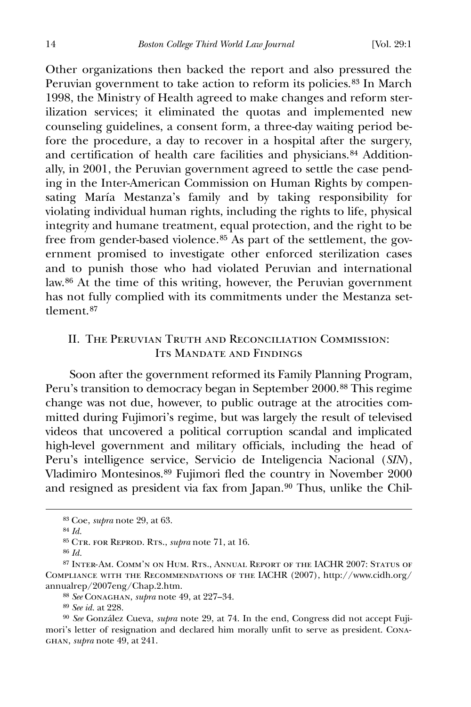Other organizations then backed the report and also pressured the Peruvian government to take action to reform its policies.<sup>[8](#page-14-0)3</sup> In March 1998, the Ministry of Health agreed to make changes and reform sterilization services; it eliminated the quotas and implemented new counseling guidelines, a consent form, a three-day waiting period before the procedure, a day to recover in a hospital after the surgery, and certification of health care facilities and physicians.<sup>[84](#page-14-1)</sup> Additionally, in 2001, the Peruvian government agreed to settle the case pending in the Inter-American Commission on Human Rights by compensating María Mestanza's family and by taking responsibility for violating individual human rights, including the rights to life, physical integrity and humane treatment, equal protection, and the right to be free from gender-based violence.[8](#page-14-2)5 As part of the settlement, the government promised to investigate other enforced sterilization cases and to punish those who had violated Peruvian and international law.[8](#page-14-3)6 At the time of this writing, however, the Peruvian government has not fully complied with its commitments under the Mestanza set-tlement.<sup>[87](#page-14-4)</sup>

## II. The Peruvian Truth and Reconciliation Commission: ITS MANDATE AND FINDINGS

 Soon after the government reformed its Family Planning Program, Peru's transition to democracy began in September 2000.<sup>[8](#page-14-5)8</sup> This regime change was not due, however, to public outrage at the atrocities committed during Fujimori's regime, but was largely the result of televised videos that uncovered a political corruption scandal and implicated high-level government and military officials, including the head of Peru's intelligence service, Servicio de Inteligencia Nacional (*SIN*), Vladimiro Montesinos.[89](#page-14-6) Fujimori fled the country in November 2000 and resigned as president via fax from Japan.[90](#page-14-7) Thus, unlike the Chil-

<span id="page-14-1"></span><span id="page-14-0"></span> $\overline{a}$ 

89 *See id.* at 228.

<sup>83</sup> Coe, *supra* note 29, at 63.

<sup>84</sup> *Id.*

<sup>85</sup> Ctr. for Reprod. Rts., *supra* note 71, at 16.

<sup>86</sup> *Id.*

<span id="page-14-4"></span><span id="page-14-3"></span><span id="page-14-2"></span><sup>87</sup> Inter-Am. Comm'n on Hum. Rts., Annual Report of the IACHR 2007: Status of Compliance with the Recommendations of the IACHR (2007), http://www.cidh.org/ annualrep/2007eng/Chap.2.htm.

<sup>88</sup> *See* Conaghan, *supra* note 49, at 227–34.

<span id="page-14-7"></span><span id="page-14-6"></span><span id="page-14-5"></span><sup>90</sup> *See* González Cueva, *supra* note 29, at 74. In the end, Congress did not accept Fujimori's letter of resignation and declared him morally unfit to serve as president. Conaghan, *supra* note 49, at 241.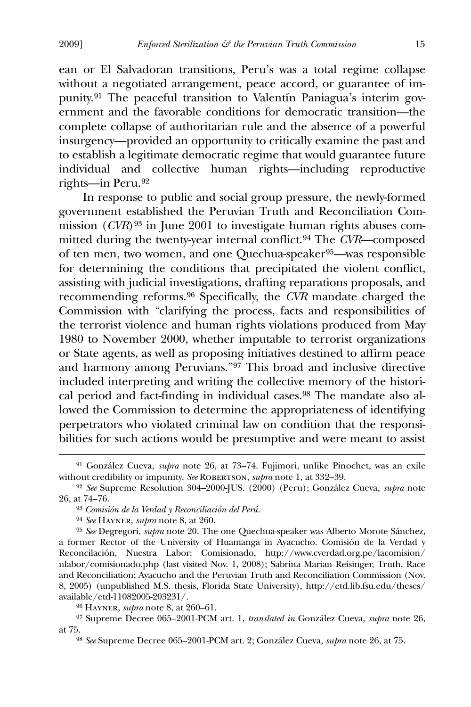ean or El Salvadoran transitions, Peru's was a total regime collapse without a negotiated arrangement, peace accord, or guarantee of impunity.[9](#page-15-0)1 The peaceful transition to Valentín Paniagua's interim government and the favorable conditions for democratic transition—the complete collapse of authoritarian rule and the absence of a powerful insurgency—provided an opportunity to critically examine the past and to establish a legitimate democratic regime that would guarantee future individual and collective human rights—including reproductive rights—in Peru.[9](#page-15-1)2

 In response to public and social group pressure, the newly-formed government established the Peruvian Truth and Reconciliation Commission (*CVR*)[93](#page-15-2) in June 2001 to investigate human rights abuses committed during the twenty-year internal conflict.[9](#page-15-3)4 The *CVR*—composed of ten men, two women, and one Quechua-speaker[95](#page-15-4)—was responsible for determining the conditions that precipitated the violent conflict, assisting with judicial investigations, drafting reparations proposals, and recommending reforms.[9](#page-15-5)6 Specifically, the *CVR* mandate charged the Commission with "clarifying the process, facts and responsibilities of the terrorist violence and human rights violations produced from May 1980 to November 2000, whether imputable to terrorist organizations or State agents, as well as proposing initiatives destined to affirm peace and harmony among Peruvians."[97](#page-15-6) This broad and inclusive directive included interpreting and writing the collective memory of the historical period and fact-finding in individual cases.[9](#page-15-7)8 The mandate also allowed the Commission to determine the appropriateness of identifying perpetrators who violated criminal law on condition that the responsibilities for such actions would be presumptive and were meant to assist

<span id="page-15-0"></span><sup>91</sup> González Cueva, *supra* note 26, at 73–74. Fujimori, unlike Pinochet, was an exile without credibility or impunity. See ROBERTSON, *supra* note 1, at 332-39.

<span id="page-15-2"></span><span id="page-15-1"></span><sup>92</sup> *See* Supreme Resolution 304–2000-JUS. (2000) (Peru); González Cueva, *supra* note 26, at 74–76.

<sup>93</sup> *Comisión de la Verdad y Reconciliación del Perú.*

<sup>94</sup> *See* Hayner, *supra* note 8, at 260.

<span id="page-15-4"></span><span id="page-15-3"></span><sup>95</sup> *See* Degregori, *supra* note 20. The one Quechua-speaker was Alberto Morote Sánchez, a former Rector of the University of Huamanga in Ayacucho. Comisión de la Verdad y Reconcilación, Nuestra Labor: Comisionado, http://www.cverdad.org.pe/lacomision/ nlabor/comisionado.php (last visited Nov. 1, 2008); Sabrina Marian Reisinger, Truth, Race and Reconciliation; Ayacucho and the Peruvian Truth and Reconciliation Commission (Nov. 8, 2005) (unpublished M.S. thesis, Florida State University), http://etd.lib.fsu.edu/theses/ available/etd-11082005-203231/.

<sup>96</sup> Hayner, *supra* note 8, at 260–61.

<span id="page-15-7"></span><span id="page-15-6"></span><span id="page-15-5"></span><sup>97</sup> Supreme Decree 065–2001-PCM art. 1, *translated in* González Cueva, *supra* note 26, at 75.

<sup>98</sup> *See* Supreme Decree 065–2001-PCM art. 2; González Cueva, *supra* note 26, at 75.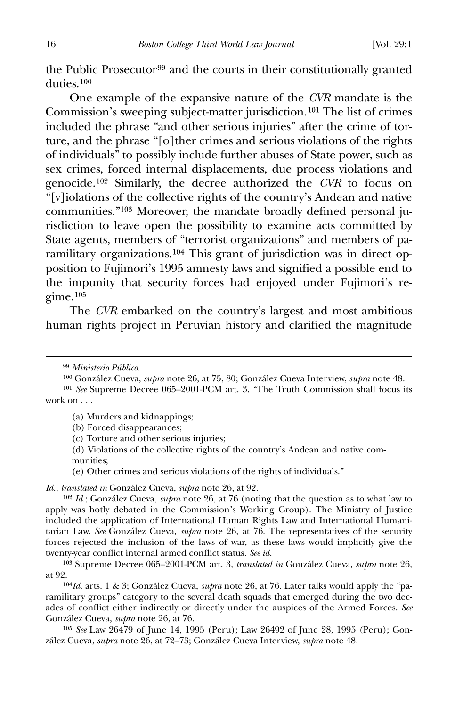the Public Prosecutor<sup>[9](#page-16-0)9</sup> and the courts in their constitutionally granted duties.[10](#page-16-1)0

 One example of the expansive nature of the *CVR* mandate is the Commission's sweeping subject-matter jurisdiction.[10](#page-16-2)1 The list of crimes included the phrase "and other serious injuries" after the crime of torture, and the phrase "[o]ther crimes and serious violations of the rights of individuals" to possibly include further abuses of State power, such as sex crimes, forced internal displacements, due process violations and genocide.[10](#page-16-3)2 Similarly, the decree authorized the *CVR* to focus on "[v]iolations of the collective rights of the country's Andean and native communities."[1](#page-16-4)03 Moreover, the mandate broadly defined personal jurisdiction to leave open the possibility to examine acts committed by State agents, members of "terrorist organizations" and members of paramilitary organizations.[10](#page-16-5)4 This grant of jurisdiction was in direct opposition to Fujimori's 1995 amnesty laws and signified a possible end to the impunity that security forces had enjoyed under Fujimori's re $g$ ime.<sup>[1](#page-16-6)05</sup>

 The *CVR* embarked on the country's largest and most ambitious human rights project in Peruvian history and clarified the magnitude

<span id="page-16-0"></span> $\overline{a}$ 

- (a) Murders and kidnappings;
- (b) Forced disappearances;
- (c) Torture and other serious injuries;
- (d) Violations of the collective rights of the country's Andean and native communities;
- (e) Other crimes and serious violations of the rights of individuals."

*Id.*, *translated in* González Cueva, *supra* note 26, at 92.

<span id="page-16-3"></span>102 *Id.*; González Cueva, *supra* note 26, at 76 (noting that the question as to what law to apply was hotly debated in the Commission's Working Group). The Ministry of Justice included the application of International Human Rights Law and International Humanitarian Law. *See* González Cueva, *supra* note 26, at 76. The representatives of the security forces rejected the inclusion of the laws of war, as these laws would implicitly give the twenty-year conflict internal armed conflict status. *See id.*

<span id="page-16-4"></span>103 Supreme Decree 065–2001-PCM art. 3, *translated in* González Cueva, *supra* note 26, at 92.

<span id="page-16-5"></span>104*Id.* arts. 1 & 3; González Cueva, *supra* note 26, at 76. Later talks would apply the "paramilitary groups" category to the several death squads that emerged during the two decades of conflict either indirectly or directly under the auspices of the Armed Forces. *See*  González Cueva, *supra* note 26, at 76*.*

<span id="page-16-6"></span>105 *See* Law 26479 of June 14, 1995 (Peru); Law 26492 of June 28, 1995 (Peru); González Cueva, *supra* note 26, at 72–73; González Cueva Interview, *supra* note 48.

<sup>99</sup> *Ministerio Público.*

<sup>100</sup> González Cueva, *supra* note 26, at 75, 80; González Cueva Interview, *supra* note 48.

<span id="page-16-2"></span><span id="page-16-1"></span><sup>101</sup> *See* Supreme Decree 065–2001-PCM art. 3. "The Truth Commission shall focus its work on . . .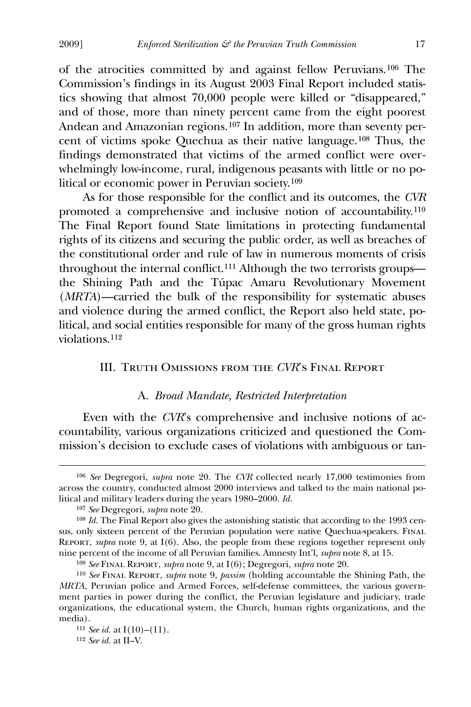of the atrocities committed by and against fellow Peruvians.[1](#page-17-0)06 The Commission's findings in its August 2003 Final Report included statistics showing that almost 70,000 people were killed or "disappeared," and of those, more than ninety percent came from the eight poorest Andean and Amazonian regions.[1](#page-17-1)07 In addition, more than seventy percent of victims spoke Quechua as their native language.[1](#page-17-2)08 Thus, the findings demonstrated that victims of the armed conflict were overwhelmingly low-income, rural, indigenous peasants with little or no political or economic power in Peruvian society.[1](#page-17-3)09

 As for those responsible for the conflict and its outcomes, the *CVR* promoted a comprehensive and inclusive notion of accountability.[1](#page-17-4)10 The Final Report found State limitations in protecting fundamental rights of its citizens and securing the public order, as well as breaches of the constitutional order and rule of law in numerous moments of crisis throughout the internal conflict.[1](#page-17-5)11 Although the two terrorists groups the Shining Path and the Túpac Amaru Revolutionary Movement (*MRTA*)—carried the bulk of the responsibility for systematic abuses and violence during the armed conflict, the Report also held state, political, and social entities responsible for many of the gross human rights violations.[11](#page-17-6)2

## III. Truth Omissions from the *CVR*'s Final Report

#### A. *Broad Mandate, Restricted Interpretation*

 Even with the *CVR*'s comprehensive and inclusive notions of accountability, various organizations criticized and questioned the Commission's decision to exclude cases of violations with ambiguous or tan-

<span id="page-17-0"></span><sup>106</sup> *See* Degregori, *supra* note 20. The *CVR* collected nearly 17,000 testimonies from across the country, conducted almost 2000 interviews and talked to the main national political and military leaders during the years 1980–2000. *Id.*

<sup>107</sup> *See* Degregori, *supra* note 20.

<span id="page-17-2"></span><span id="page-17-1"></span><sup>108</sup> *Id.* The Final Report also gives the astonishing statistic that according to the 1993 census, only sixteen percent of the Peruvian population were native Quechua-speakers. Final Report, *supra* note 9, at I(6). Also, the people from these regions together represent only nine percent of the income of all Peruvian families. Amnesty Int'l, *supra* note 8, at 15.

<sup>109</sup> *See* Final Report, *supra* note 9, at I(6); Degregori, *supra* note 20.

<span id="page-17-4"></span><span id="page-17-3"></span><sup>110</sup> *See* Final Report, *supra* note 9, *passim* (holding accountable the Shining Path, the *MRTA*, Peruvian police and Armed Forces, self-defense committees, the various government parties in power during the conflict, the Peruvian legislature and judiciary, trade organizations, the educational system, the Church, human rights organizations, and the media).

<span id="page-17-5"></span><sup>111</sup> *See id.* at I(10)–(11).

<span id="page-17-6"></span><sup>112</sup> *See id.* at II–V.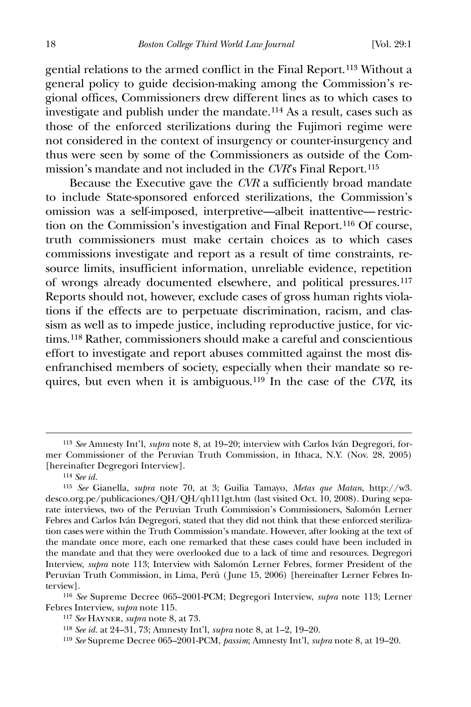gential relations to the armed conflict in the Final Report.[11](#page-18-0)3 Without a general policy to guide decision-making among the Commission's regional offices, Commissioners drew different lines as to which cases to investigate and publish under the mandate.[1](#page-18-1)14 As a result, cases such as those of the enforced sterilizations during the Fujimori regime were not considered in the context of insurgency or counter-insurgency and thus were seen by some of the Commissioners as outside of the Commission's mandate and not included in the *CVR*'s Final Report.[11](#page-18-2)5

 Because the Executive gave the *CVR* a sufficiently broad mandate to include State-sponsored enforced sterilizations, the Commission's omission was a self-imposed, interpretive—albeit inattentive— restriction on the Commission's investigation and Final Report.[1](#page-18-3)16 Of course, truth commissioners must make certain choices as to which cases commissions investigate and report as a result of time constraints, resource limits, insufficient information, unreliable evidence, repetition of wrongs already documented elsewhere, and political pressures.[11](#page-18-4)7 Reports should not, however, exclude cases of gross human rights violations if the effects are to perpetuate discrimination, racism, and classism as well as to impede justice, including reproductive justice, for victims.[1](#page-18-5)18 Rather, commissioners should make a careful and conscientious effort to investigate and report abuses committed against the most disenfranchised members of society, especially when their mandate so requires, but even when it is ambiguous.[11](#page-18-6)9 In the case of the *CVR*, its

 $\overline{a}$ 

<span id="page-18-6"></span><span id="page-18-5"></span><span id="page-18-4"></span><span id="page-18-3"></span>116 *See* Supreme Decree 065–2001-PCM; Degregori Interview, *supra* note 113; Lerner Febres Interview, *supra* note 115.

<span id="page-18-0"></span><sup>113</sup> *See* Amnesty Int'l, *supra* note 8, at 19–20; interview with Carlos Iván Degregori, former Commissioner of the Peruvian Truth Commission, in Ithaca, N.Y. (Nov. 28, 2005) [hereinafter Degregori Interview].

<sup>114</sup> *See id.*

<span id="page-18-2"></span><span id="page-18-1"></span><sup>115</sup> *See* Gianella, *supra* note 70, at 3; Guilia Tamayo, *Metas que Matan*, http://w3. desco.org.pe/publicaciones/QH/QH/qh111gt.htm (last visited Oct. 10, 2008). During separate interviews, two of the Peruvian Truth Commission's Commissioners, Salomón Lerner Febres and Carlos Iván Degregori, stated that they did not think that these enforced sterilization cases were within the Truth Commission's mandate. However, after looking at the text of the mandate once more, each one remarked that these cases could have been included in the mandate and that they were overlooked due to a lack of time and resources. Degregori Interview, *supra* note 113; Interview with Salomón Lerner Febres, former President of the Peruvian Truth Commission, in Lima, Perú ( June 15, 2006) [hereinafter Lerner Febres Interview].

<sup>117</sup> *See* Hayner, *supra* note 8, at 73.

<sup>118</sup> *See id.* at 24–31, 73; Amnesty Int'l, *supra* note 8, at 1–2, 19–20.

<sup>119</sup> *See* Supreme Decree 065–2001-PCM, *passim*; Amnesty Int'l, *supra* note 8, at 19–20.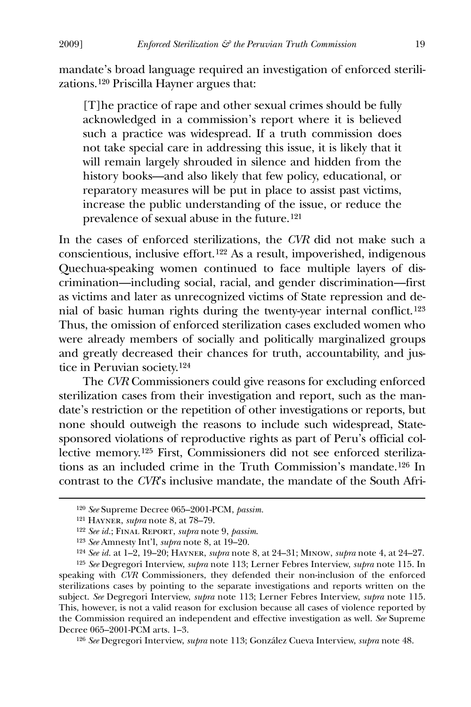mandate's broad language required an investigation of enforced sterilizations.[1](#page-19-0)20 Priscilla Hayner argues that:

[T]he practice of rape and other sexual crimes should be fully acknowledged in a commission's report where it is believed such a practice was widespread. If a truth commission does not take special care in addressing this issue, it is likely that it will remain largely shrouded in silence and hidden from the history books—and also likely that few policy, educational, or reparatory measures will be put in place to assist past victims, increase the public understanding of the issue, or reduce the prevalence of sexual abuse in the future.[12](#page-19-1)1

In the cases of enforced sterilizations, the *CVR* did not make such a conscientious, inclusive effort.[1](#page-19-2)22 As a result, impoverished, indigenous Quechua-speaking women continued to face multiple layers of discrimination—including social, racial, and gender discrimination—first as victims and later as unrecognized victims of State repression and denial of basic human rights during the twenty-year internal conflict.[1](#page-19-3)23 Thus, the omission of enforced sterilization cases excluded women who were already members of socially and politically marginalized groups and greatly decreased their chances for truth, accountability, and justice in Peruvian society.[12](#page-19-4)4

 The *CVR* Commissioners could give reasons for excluding enforced sterilization cases from their investigation and report, such as the mandate's restriction or the repetition of other investigations or reports, but none should outweigh the reasons to include such widespread, Statesponsored violations of reproductive rights as part of Peru's official collective memory.[1](#page-19-5)25 First, Commissioners did not see enforced sterilizations as an included crime in the Truth Commission's mandate.[1](#page-19-6)26 In contrast to the *CVR*'s inclusive mandate, the mandate of the South Afri-

<span id="page-19-1"></span><span id="page-19-0"></span> $\overline{a}$ 

<span id="page-19-6"></span>126 *See* Degregori Interview, *supra* note 113; González Cueva Interview, *supra* note 48.

<sup>120</sup> *See* Supreme Decree 065–2001-PCM, *passim.*

<sup>121</sup> Hayner, *supra* note 8, at 78–79.

<sup>122</sup> *See id.*; Final Report, *supra* note 9, *passim*.

<sup>123</sup> *See* Amnesty Int'l, *supra* note 8, at 19–20.

<sup>124</sup> *See id.* at 1–2, 19–20; Hayner, *supra* note 8, at 24–31; Minow, *supra* note 4, at 24–27.

<span id="page-19-5"></span><span id="page-19-4"></span><span id="page-19-3"></span><span id="page-19-2"></span><sup>125</sup> *See* Degregori Interview, *supra* note 113; Lerner Febres Interview, *supra* note 115. In speaking with *CVR* Commissioners, they defended their non-inclusion of the enforced sterilizations cases by pointing to the separate investigations and reports written on the subject. *See* Degregori Interview, *supra* note 113; Lerner Febres Interview, *supra* note 115. This, however, is not a valid reason for exclusion because all cases of violence reported by the Commission required an independent and effective investigation as well. *See* Supreme Decree 065–2001-PCM arts. 1–3.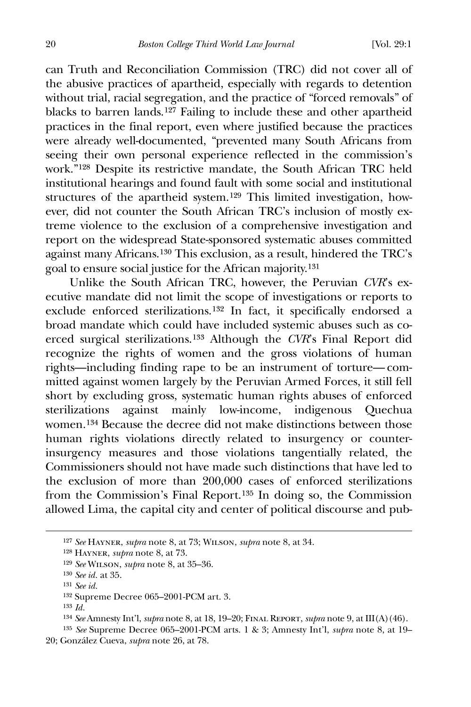can Truth and Reconciliation Commission (TRC) did not cover all of the abusive practices of apartheid, especially with regards to detention without trial, racial segregation, and the practice of "forced removals" of blacks to barren lands.[1](#page-20-0)27 Failing to include these and other apartheid practices in the final report, even where justified because the practices were already well-documented, "prevented many South Africans from seeing their own personal experience reflected in the commission's work."[12](#page-20-1)8 Despite its restrictive mandate, the South African TRC held institutional hearings and found fault with some social and institutional structures of the apartheid system.[1](#page-20-2)29 This limited investigation, however, did not counter the South African TRC's inclusion of mostly extreme violence to the exclusion of a comprehensive investigation and report on the widespread State-sponsored systematic abuses committed against many Africans.[1](#page-20-3)30 This exclusion, as a result, hindered the TRC's goal to ensure social justice for the African majority.[1](#page-20-4)31

 Unlike the South African TRC, however, the Peruvian *CVR*'s executive mandate did not limit the scope of investigations or reports to exclude enforced sterilizations.[1](#page-20-5)32 In fact, it specifically endorsed a broad mandate which could have included systemic abuses such as coerced surgical sterilizations.[1](#page-20-6)33 Although the *CVR*'s Final Report did recognize the rights of women and the gross violations of human rights—including finding rape to be an instrument of torture— committed against women largely by the Peruvian Armed Forces, it still fell short by excluding gross, systematic human rights abuses of enforced sterilizations against mainly low-income, indigenous Quechua women.[13](#page-20-7)4 Because the decree did not make distinctions between those human rights violations directly related to insurgency or counterinsurgency measures and those violations tangentially related, the Commissioners should not have made such distinctions that have led to the exclusion of more than 200,000 cases of enforced sterilizations from the Commission's Final Report.[1](#page-20-8)35 In doing so, the Commission allowed Lima, the capital city and center of political discourse and pub-

<span id="page-20-0"></span><sup>127</sup> *See* Hayner, *supra* note 8, at 73; Wilson, *supra* note 8, at 34.

<span id="page-20-1"></span><sup>128</sup> Hayner, *supra* note 8, at 73.

<span id="page-20-2"></span><sup>129</sup> *See* Wilson, *supra* note 8, at 35–36.

<span id="page-20-3"></span><sup>130</sup> *See id.* at 35.

<span id="page-20-4"></span><sup>131</sup> *See id.*

<sup>132</sup> Supreme Decree 065–2001-PCM art. 3.

<sup>133</sup> *Id.*

<sup>134</sup> *See* Amnesty Int'l, *supra* note 8, at 18, 19–20; Final Report, *supra* note 9, at III(A)(46).

<span id="page-20-8"></span><span id="page-20-7"></span><span id="page-20-6"></span><span id="page-20-5"></span><sup>135</sup> *See* Supreme Decree 065–2001-PCM arts. 1 & 3; Amnesty Int'l, *supra* note 8, at 19– 20; González Cueva, *supra* note 26, at 78.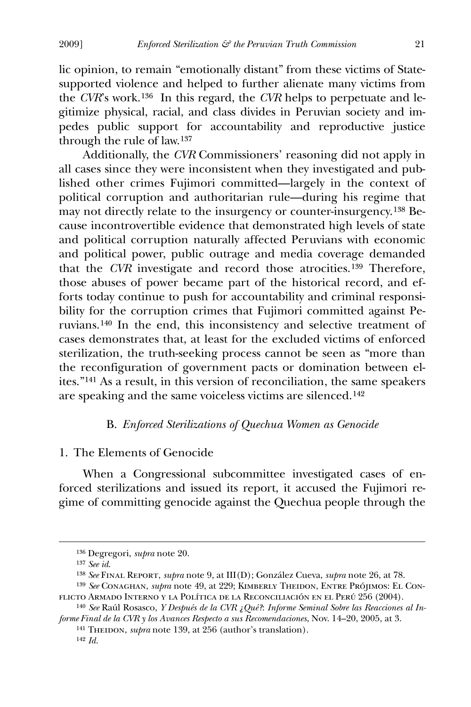lic opinion, to remain "emotionally distant" from these victims of Statesupported violence and helped to further alienate many victims from the *CVR*'s work.[1](#page-21-0)36 In this regard, the *CVR* helps to perpetuate and legitimize physical, racial, and class divides in Peruvian society and impedes public support for accountability and reproductive justice through the rule of law.[1](#page-21-1)37

 Additionally, the *CVR* Commissioners' reasoning did not apply in all cases since they were inconsistent when they investigated and published other crimes Fujimori committed—largely in the context of political corruption and authoritarian rule—during his regime that may not directly relate to the insurgency or counter-insurgency.[1](#page-21-2)38 Because incontrovertible evidence that demonstrated high levels of state and political corruption naturally affected Peruvians with economic and political power, public outrage and media coverage demanded that the *CVR* investigate and record those atrocities.[13](#page-21-3)9 Therefore, those abuses of power became part of the historical record, and efforts today continue to push for accountability and criminal responsibility for the corruption crimes that Fujimori committed against Peruvians.[14](#page-21-4)0 In the end, this inconsistency and selective treatment of cases demonstrates that, at least for the excluded victims of enforced sterilization, the truth-seeking process cannot be seen as "more than the reconfiguration of government pacts or domination between elites."[1](#page-21-5)41 As a result, in this version of reconciliation, the same speakers are speaking and the same voiceless victims are silenced.[1](#page-21-6)42

### B. *Enforced Sterilizations of Quechua Women as Genocide*

### 1. The Elements of Genocide

 When a Congressional subcommittee investigated cases of enforced sterilizations and issued its report, it accused the Fujimori regime of committing genocide against the Quechua people through the

<span id="page-21-0"></span> $\overline{a}$ 

<sup>141</sup> THEIDON, *supra* note 139, at 256 (author's translation). 142 *Id.*

<sup>136</sup> Degregori, *supra* note 20.

<sup>137</sup> *See id*.

<sup>138</sup> *See* Final Report, *supra* note 9, at III(D); González Cueva, *supra* note 26, at 78.

<span id="page-21-3"></span><span id="page-21-2"></span><span id="page-21-1"></span><sup>&</sup>lt;sup>139</sup> See Conaghan, *supra* note 49, at 229; KIMBERLY THEIDON, ENTRE PRÓJIMOS: EL CONflicto Armado Interno y la Política de la Reconciliación en el Perú 256 (2004).

<span id="page-21-6"></span><span id="page-21-5"></span><span id="page-21-4"></span><sup>140</sup> *See* Raúl Rosasco, *Y Después de la CVR ¿Qué?*: *Informe Seminal Sobre las Reacciones al Informe Final de la CVR y los Avances Respecto a sus Recomendaciones*, Nov. 14–20, 2005, at 3.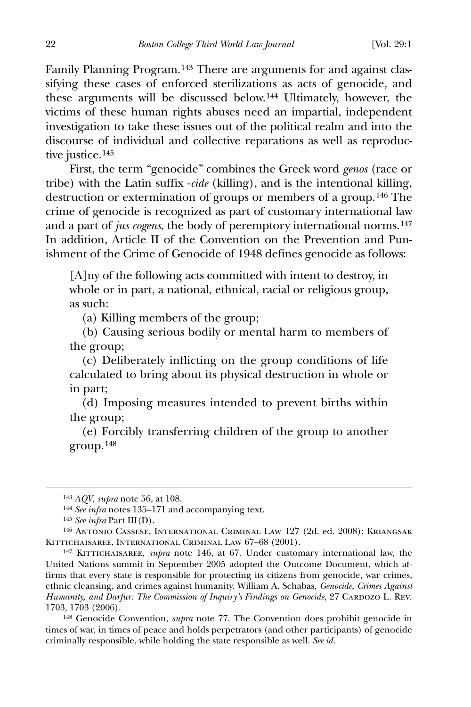Family Planning Program.[14](#page-22-0)3 There are arguments for and against classifying these cases of enforced sterilizations as acts of genocide, and these arguments will be discussed below.[14](#page-22-1)4 Ultimately, however, the victims of these human rights abuses need an impartial, independent investigation to take these issues out of the political realm and into the discourse of individual and collective reparations as well as reproductive justice.[1](#page-22-2)45

 First, the term "genocide" combines the Greek word *genos* (race or tribe) with the Latin suffix -*cide* (killing), and is the intentional killing, destruction or extermination of groups or members of a group.[1](#page-22-3)46 The crime of genocide is recognized as part of customary international law and a part of *jus cogens*, the body of peremptory international norms.[14](#page-22-4)7 In addition, Article II of the Convention on the Prevention and Punishment of the Crime of Genocide of 1948 defines genocide as follows:

[A]ny of the following acts committed with intent to destroy, in whole or in part, a national, ethnical, racial or religious group, as such:

(a) Killing members of the group;

 (b) Causing serious bodily or mental harm to members of the group;

 (c) Deliberately inflicting on the group conditions of life calculated to bring about its physical destruction in whole or in part;

 (d) Imposing measures intended to prevent births within the group;

 (e) Forcibly transferring children of the group to another group.[14](#page-22-5)8

<sup>143</sup> *AQV*, *supra* note 56, at 108.

<sup>144</sup> *See infra* notes 135–171 and accompanying text.

<sup>145</sup> *See infra* Part III(D).

<span id="page-22-3"></span><span id="page-22-2"></span><span id="page-22-1"></span><span id="page-22-0"></span><sup>146</sup> Antonio Cassese, International Criminal Law 127 (2d. ed. 2008); Kriangsak Kittichaisaree, International Criminal Law 67–68 (2001).

<span id="page-22-4"></span><sup>147</sup> Kittichaisaree, *supra* note 146, at 67. Under customary international law, the United Nations summit in September 2005 adopted the Outcome Document, which affirms that every state is responsible for protecting its citizens from genocide, war crimes, ethnic cleansing, and crimes against humanity. William A. Schabas, *Genocide, Crimes Against Humanity, and Darfur: The Commission of Inquiry's Findings on Genocide*, 27 CARDOZO L. REV. 1703, 1703 (2006).

<span id="page-22-5"></span><sup>148</sup> Genocide Convention, *supra* note 77. The Convention does prohibit genocide in times of war, in times of peace and holds perpetrators (and other participants) of genocide criminally responsible, while holding the state responsible as well. *See id.*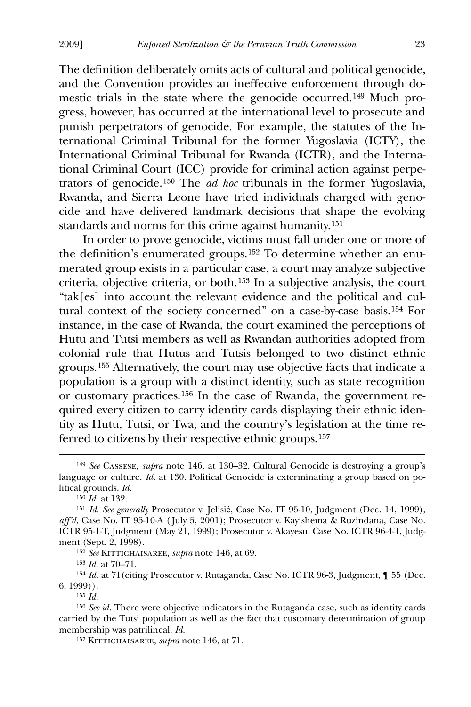The definition deliberately omits acts of cultural and political genocide, and the Convention provides an ineffective enforcement through domestic trials in the state where the genocide occurred.[1](#page-23-0)49 Much progress, however, has occurred at the international level to prosecute and punish perpetrators of genocide. For example, the statutes of the International Criminal Tribunal for the former Yugoslavia (ICTY), the International Criminal Tribunal for Rwanda (ICTR), and the International Criminal Court (ICC) provide for criminal action against perpetrators of genocide.[1](#page-23-1)50 The *ad hoc* tribunals in the former Yugoslavia, Rwanda, and Sierra Leone have tried individuals charged with genocide and have delivered landmark decisions that shape the evolving standards and norms for this crime against humanity.[15](#page-23-2)1

 In order to prove genocide, victims must fall under one or more of the definition's enumerated groups.[1](#page-23-3)52 To determine whether an enumerated group exists in a particular case, a court may analyze subjective criteria, objective criteria, or both.[15](#page-23-4)3 In a subjective analysis, the court "tak[es] into account the relevant evidence and the political and cultural context of the society concerned" on a case-by-case basis.[1](#page-23-5)54 For instance, in the case of Rwanda, the court examined the perceptions of Hutu and Tutsi members as well as Rwandan authorities adopted from colonial rule that Hutus and Tutsis belonged to two distinct ethnic groups.[1](#page-23-6)55 Alternatively, the court may use objective facts that indicate a population is a group with a distinct identity, such as state recognition or customary practices.[15](#page-23-7)6 In the case of Rwanda, the government required every citizen to carry identity cards displaying their ethnic identity as Hutu, Tutsi, or Twa, and the country's legislation at the time referred to citizens by their respective ethnic groups.[15](#page-23-8)7

 $\overline{a}$ 

<sup>157</sup> KITTICHAISAREE, *supra* note 146, at 71.

<span id="page-23-0"></span><sup>149</sup> *See* Cassese, *supra* note 146, at 130–32. Cultural Genocide is destroying a group's language or culture. *Id.* at 130. Political Genocide is exterminating a group based on political grounds. *Id.*

<sup>150</sup> *Id.* at 132.

<span id="page-23-2"></span><span id="page-23-1"></span><sup>151</sup> *Id. See generally* Prosecutor v. Jelisić, Case No. IT 95-10, Judgment (Dec. 14, 1999), *aff'd*, Case No. IT 95-10-A ( July 5, 2001); Prosecutor v. Kayishema & Ruzindana, Case No. ICTR 95-1-T, Judgment (May 21, 1999); Prosecutor v. Akayesu, Case No. ICTR 96-4-T, Judgment (Sept. 2, 1998).

<sup>152</sup> *See* Kittichaisaree, *supra* note 146, at 69.

<sup>153</sup> *Id.* at 70–71.

<span id="page-23-5"></span><span id="page-23-4"></span><span id="page-23-3"></span><sup>154</sup> *Id.* at 71(citing Prosecutor v. Rutaganda, Case No. ICTR 96-3, Judgment, ¶ 55 (Dec. 6, 1999)).

<sup>155</sup> *Id.*

<span id="page-23-8"></span><span id="page-23-7"></span><span id="page-23-6"></span><sup>156</sup> *See id.* There were objective indicators in the Rutaganda case, such as identity cards carried by the Tutsi population as well as the fact that customary determination of group membership was patrilineal. *Id.*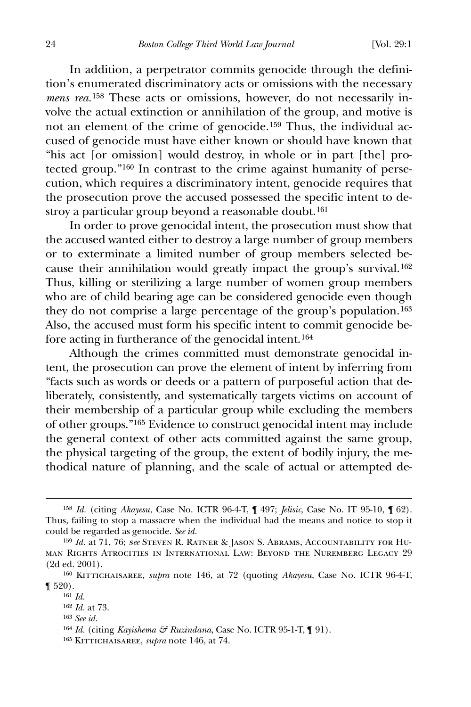In addition, a perpetrator commits genocide through the definition's enumerated discriminatory acts or omissions with the necessary *mens rea.*[1](#page-24-0)58 These acts or omissions, however, do not necessarily involve the actual extinction or annihilation of the group, and motive is not an element of the crime of genocide.[15](#page-24-1)9 Thus, the individual accused of genocide must have either known or should have known that "his act [or omission] would destroy, in whole or in part [the] protected group."[16](#page-24-2)0 In contrast to the crime against humanity of persecution, which requires a discriminatory intent, genocide requires that the prosecution prove the accused possessed the specific intent to de-stroy a particular group beyond a reasonable doubt.<sup>[16](#page-24-3)1</sup>

 In order to prove genocidal intent, the prosecution must show that the accused wanted either to destroy a large number of group members or to exterminate a limited number of group members selected because their annihilation would greatly impact the group's survival.[16](#page-24-4)2 Thus, killing or sterilizing a large number of women group members who are of child bearing age can be considered genocide even though they do not comprise a large percentage of the group's population.[16](#page-24-5)3 Also, the accused must form his specific intent to commit genocide before acting in furtherance of the genocidal intent.[16](#page-24-6)4

 Although the crimes committed must demonstrate genocidal intent, the prosecution can prove the element of intent by inferring from "facts such as words or deeds or a pattern of purposeful action that deliberately, consistently, and systematically targets victims on account of their membership of a particular group while excluding the members of other groups."[1](#page-24-7)65 Evidence to construct genocidal intent may include the general context of other acts committed against the same group, the physical targeting of the group, the extent of bodily injury, the methodical nature of planning, and the scale of actual or attempted de-

<span id="page-24-0"></span><sup>158</sup> *Id.* (citing *Akayesu*, Case No. ICTR 96-4-T, ¶ 497; *Jelisic*, Case No. IT 95-10, ¶ 62). Thus, failing to stop a massacre when the individual had the means and notice to stop it could be regarded as genocide. *See id.*

<span id="page-24-1"></span><sup>159</sup> *Id.* at 71, 76; *see* Steven R. Ratner & Jason S. Abrams, Accountability for Human Rights Atrocities in International Law: Beyond the Nuremberg Legacy 29 (2d ed. 2001).

<span id="page-24-4"></span><span id="page-24-3"></span><span id="page-24-2"></span><sup>160</sup> Kittichaisaree, *supra* note 146, at 72 (quoting *Akayesu*, Case No. ICTR 96-4-T,  $\P$  520).

<span id="page-24-5"></span><sup>161</sup> *Id.*

<sup>162</sup> *Id.* at 73.

<sup>163</sup> *See id.*

<span id="page-24-6"></span><sup>164</sup> *Id.* (citing *Kayishema & Ruzindana*, Case No. ICTR 95-1-T, ¶ 91).

<span id="page-24-7"></span><sup>165</sup> Kittichaisaree, *supra* note 146, at 74.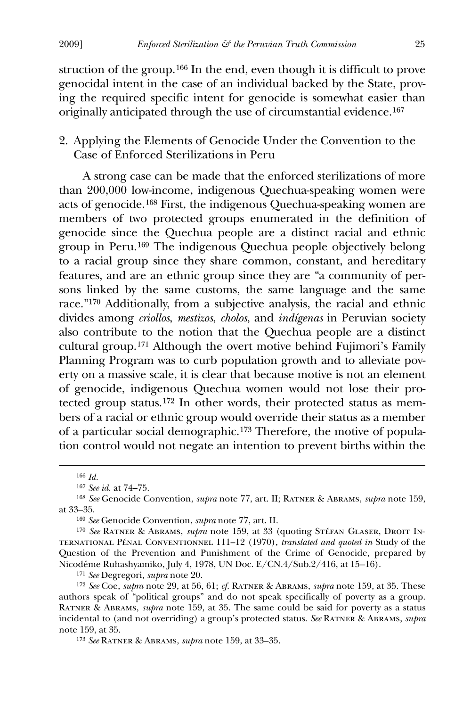struction of the group.[1](#page-25-0)66 In the end, even though it is difficult to prove genocidal intent in the case of an individual backed by the State, proving the required specific intent for genocide is somewhat easier than originally anticipated through the use of circumstantial evidence.[16](#page-25-1)7

## 2. Applying the Elements of Genocide Under the Convention to the Case of Enforced Sterilizations in Peru

 A strong case can be made that the enforced sterilizations of more than 200,000 low-income, indigenous Quechua-speaking women were acts of genocide.[1](#page-25-2)68 First, the indigenous Quechua-speaking women are members of two protected groups enumerated in the definition of genocide since the Quechua people are a distinct racial and ethnic group in Peru.[16](#page-25-3)9 The indigenous Quechua people objectively belong to a racial group since they share common, constant, and hereditary features, and are an ethnic group since they are "a community of persons linked by the same customs, the same language and the same race."[1](#page-25-4)70 Additionally, from a subjective analysis, the racial and ethnic divides among *criollos*, *mestizos*, *cholos*, and *indígenas* in Peruvian society also contribute to the notion that the Quechua people are a distinct cultural group.[1](#page-25-5)71 Although the overt motive behind Fujimori's Family Planning Program was to curb population growth and to alleviate poverty on a massive scale, it is clear that because motive is not an element of genocide, indigenous Quechua women would not lose their protected group status.[17](#page-25-6)2 In other words, their protected status as members of a racial or ethnic group would override their status as a member of a particular social demographic.[17](#page-25-7)3 Therefore, the motive of population control would not negate an intention to prevent births within the

<span id="page-25-0"></span> $\overline{a}$ 

169 *See* Genocide Convention, *supra* note 77, art. II.

<span id="page-25-4"></span><span id="page-25-3"></span><sup>170</sup> See RATNER & ABRAMS, *supra* note 159, at 33 (quoting STÉFAN GLASER, DROIT INternational Pénal Conventionnel 111–12 (1970), *translated and quoted in* Study of the Question of the Prevention and Punishment of the Crime of Genocide, prepared by Nicodéme Ruhashyamiko, July 4, 1978, UN Doc. E/CN.4/Sub.2/416, at 15–16).

171 *See* Degregori, *supra* note 20.

<span id="page-25-6"></span><span id="page-25-5"></span>172 *See* Coe, *supra* note 29, at 56, 61; *cf.* Ratner & Abrams, *supra* note 159, at 35. These authors speak of "political groups" and do not speak specifically of poverty as a group. Ratner & Abrams, *supra* note 159, at 35. The same could be said for poverty as a status incidental to (and not overriding) a group's protected status. *See* Ratner & Abrams, *supra* note 159, at 35.

<span id="page-25-7"></span>173 *See* Ratner & Abrams, *supra* note 159, at 33–35.

<sup>166</sup> *Id.*

<sup>167</sup> *See id.* at 74–75.

<span id="page-25-2"></span><span id="page-25-1"></span><sup>168</sup> *See* Genocide Convention, *supra* note 77, art. II; Ratner & Abrams, *supra* note 159, at 33–35.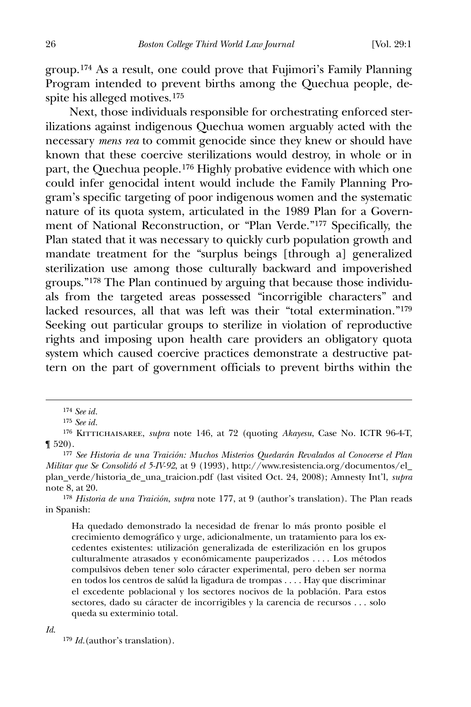group.[1](#page-26-0)74 As a result, one could prove that Fujimori's Family Planning Program intended to prevent births among the Quechua people, despite his alleged motives.[17](#page-26-1)5

 Next, those individuals responsible for orchestrating enforced sterilizations against indigenous Quechua women arguably acted with the necessary *mens rea* to commit genocide since they knew or should have known that these coercive sterilizations would destroy, in whole or in part, the Quechua people.[17](#page-26-2)6 Highly probative evidence with which one could infer genocidal intent would include the Family Planning Program's specific targeting of poor indigenous women and the systematic nature of its quota system, articulated in the 1989 Plan for a Government of National Reconstruction, or "Plan Verde."[1](#page-26-3)77 Specifically, the Plan stated that it was necessary to quickly curb population growth and mandate treatment for the "surplus beings [through a] generalized sterilization use among those culturally backward and impoverished groups."[1](#page-26-4)78 The Plan continued by arguing that because those individuals from the targeted areas possessed "incorrigible characters" and lacked resources, all that was left was their "total extermination."[17](#page-26-5)9 Seeking out particular groups to sterilize in violation of reproductive rights and imposing upon health care providers an obligatory quota system which caused coercive practices demonstrate a destructive pattern on the part of government officials to prevent births within the

<span id="page-26-0"></span> $\overline{a}$ 

Ha quedado demonstrado la necesidad de frenar lo más pronto posible el crecimiento demográfico y urge, adicionalmente, un tratamiento para los excedentes existentes: utilización generalizada de esterilización en los grupos culturalmente atrasados y económicamente pauperizados . . . . Los métodos compulsivos deben tener solo cáracter experimental, pero deben ser norma en todos los centros de salúd la ligadura de trompas . . . . Hay que discriminar el excedente poblacional y los sectores nocivos de la población. Para estos sectores, dado su cáracter de incorrigibles y la carencia de recursos . . . solo queda su exterminio total.

<span id="page-26-5"></span>*Id*.

179 *Id.*(author's translation).

<sup>174</sup> *See id.*

<sup>175</sup> *See id.*

<span id="page-26-2"></span><span id="page-26-1"></span><sup>&</sup>lt;sup>176</sup> KITTICHAISAREE, *supra* note 146, at 72 (quoting *Akayesu*, Case No. ICTR 96-4-T, ¶ 520).

<span id="page-26-3"></span><sup>177</sup> *See Historia de una Traición: Muchos Misterios Quedarán Revalados al Conocerse el Plan Militar que Se Consolidó el 5-IV-92*, at 9 (1993), http://www.resistencia.org/documentos/el\_ plan\_verde/historia\_de\_una\_traicion.pdf (last visited Oct. 24, 2008); Amnesty Int'l, *supra* note 8, at 20.

<span id="page-26-4"></span><sup>178</sup> *Historia de una Traición*, *supra* note 177, at 9 (author's translation). The Plan reads in Spanish: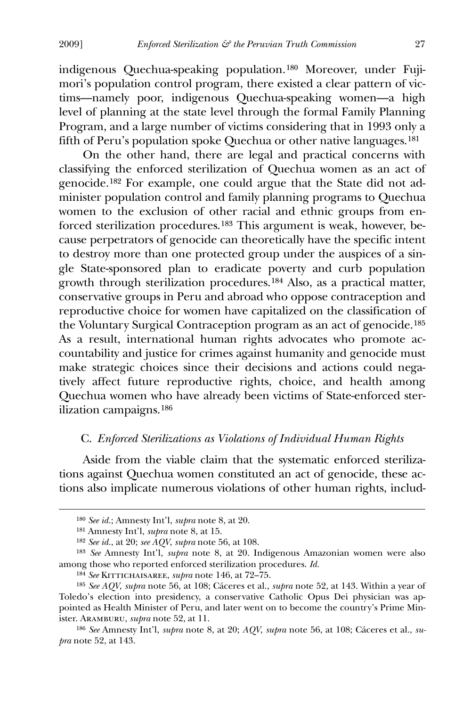indigenous Quechua-speaking population.[1](#page-27-0)80 Moreover, under Fujimori's population control program, there existed a clear pattern of victims—namely poor, indigenous Quechua-speaking women—a high level of planning at the state level through the formal Family Planning Program, and a large number of victims considering that in 1993 only a fifth of Peru's population spoke Quechua or other native languages.[18](#page-27-1)1

 On the other hand, there are legal and practical concerns with classifying the enforced sterilization of Quechua women as an act of genocide.[1](#page-27-2)82 For example, one could argue that the State did not administer population control and family planning programs to Quechua women to the exclusion of other racial and ethnic groups from enforced sterilization procedures.[1](#page-27-3)83 This argument is weak, however, because perpetrators of genocide can theoretically have the specific intent to destroy more than one protected group under the auspices of a single State-sponsored plan to eradicate poverty and curb population growth through sterilization procedures.[1](#page-27-4)84 Also, as a practical matter, conservative groups in Peru and abroad who oppose contraception and reproductive choice for women have capitalized on the classification of the Voluntary Surgical Contraception program as an act of genocide.[1](#page-27-5)85 As a result, international human rights advocates who promote accountability and justice for crimes against humanity and genocide must make strategic choices since their decisions and actions could negatively affect future reproductive rights, choice, and health among Quechua women who have already been victims of State-enforced sterilization campaigns.[1](#page-27-6)86

## C. *Enforced Sterilizations as Violations of Individual Human Rights*

 Aside from the viable claim that the systematic enforced sterilizations against Quechua women constituted an act of genocide, these actions also implicate numerous violations of other human rights, includ-

<sup>180</sup> *See id.*; Amnesty Int'l, *supra* note 8, at 20.

<sup>181</sup> Amnesty Int'l, *supra* note 8, at 15.

<sup>182</sup> *See id.*, at 20; *see AQV*, *supra* note 56, at 108.

<span id="page-27-3"></span><span id="page-27-2"></span><span id="page-27-1"></span><span id="page-27-0"></span><sup>183</sup> *See* Amnesty Int'l, *supra* note 8, at 20. Indigenous Amazonian women were also among those who reported enforced sterilization procedures. *Id.*

<sup>184</sup> *See* Kittichaisaree, *supra* note 146, at 72–75.

<span id="page-27-5"></span><span id="page-27-4"></span><sup>185</sup> *See AQV*, *supra* note 56, at 108; Cáceres et al., *supra* note 52, at 143. Within a year of Toledo's election into presidency, a conservative Catholic Opus Dei physician was appointed as Health Minister of Peru, and later went on to become the country's Prime Minister. Aramburu, *supra* note 52, at 11.

<span id="page-27-6"></span><sup>186</sup> *See* Amnesty Int'l, *supra* note 8, at 20; *AQV*, *supra* note 56, at 108; Cáceres et al., *supra* note 52, at 143.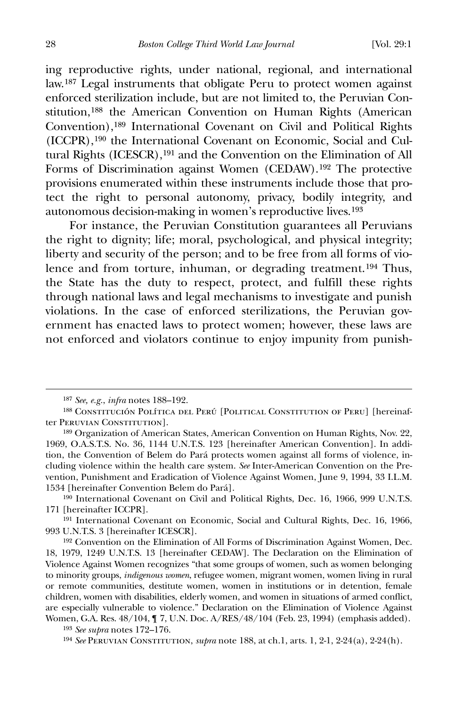ing reproductive rights, under national, regional, and international law.[18](#page-28-0)7 Legal instruments that obligate Peru to protect women against enforced sterilization include, but are not limited to, the Peruvian Constitution,[1](#page-28-1)88 the American Convention on Human Rights (American Convention),[1](#page-28-2)89 International Covenant on Civil and Political Rights (ICCPR),[1](#page-28-3)90 the International Covenant on Economic, Social and Cultural Rights (ICESCR),[1](#page-28-4)91 and the Convention on the Elimination of All Forms of Discrimination against Women (CEDAW).[1](#page-28-5)92 The protective provisions enumerated within these instruments include those that protect the right to personal autonomy, privacy, bodily integrity, and autonomous decision-making in women's reproductive lives.[19](#page-28-6)3

 For instance, the Peruvian Constitution guarantees all Peruvians the right to dignity; life; moral, psychological, and physical integrity; liberty and security of the person; and to be free from all forms of violence and from torture, inhuman, or degrading treatment.[1](#page-28-7)94 Thus, the State has the duty to respect, protect, and fulfill these rights through national laws and legal mechanisms to investigate and punish violations. In the case of enforced sterilizations, the Peruvian government has enacted laws to protect women; however, these laws are not enforced and violators continue to enjoy impunity from punish-

<sup>187</sup> *See, e.g.*, *infra* notes 188–192.

<span id="page-28-1"></span><span id="page-28-0"></span><sup>188</sup> Constitución Política del Perú [Political Constitution of Peru] [hereinafter Peruvian Constitution].

<span id="page-28-2"></span><sup>189</sup> Organization of American States, American Convention on Human Rights, Nov. 22, 1969, O.A.S.T.S. No. 36, 1144 U.N.T.S. 123 [hereinafter American Convention]. In addition, the Convention of Belem do Pará protects women against all forms of violence, including violence within the health care system. *See* Inter-American Convention on the Prevention, Punishment and Eradication of Violence Against Women, June 9, 1994, 33 I.L.M. 1534 [hereinafter Convention Belem do Pará].

<span id="page-28-3"></span><sup>190</sup> International Covenant on Civil and Political Rights, Dec. 16, 1966, 999 U.N.T.S. 171 [hereinafter ICCPR].

<span id="page-28-4"></span><sup>191</sup> International Covenant on Economic, Social and Cultural Rights, Dec. 16, 1966, 993 U.N.T.S. 3 [hereinafter ICESCR].

<span id="page-28-5"></span><sup>192</sup> Convention on the Elimination of All Forms of Discrimination Against Women, Dec. 18, 1979, 1249 U.N.T.S. 13 [hereinafter CEDAW]. The Declaration on the Elimination of Violence Against Women recognizes "that some groups of women, such as women belonging to minority groups, *indigenous women*, refugee women, migrant women, women living in rural or remote communities, destitute women, women in institutions or in detention, female children, women with disabilities, elderly women, and women in situations of armed conflict, are especially vulnerable to violence." Declaration on the Elimination of Violence Against Women, G.A. Res. 48/104, ¶ 7, U.N. Doc. A/RES/48/104 (Feb. 23, 1994) (emphasis added). 193 *See supra* notes 172–176.

<span id="page-28-7"></span><span id="page-28-6"></span><sup>194</sup> *See* Peruvian Constitution, *supra* note 188, at ch.1, arts. 1, 2-1, 2-24(a), 2-24(h).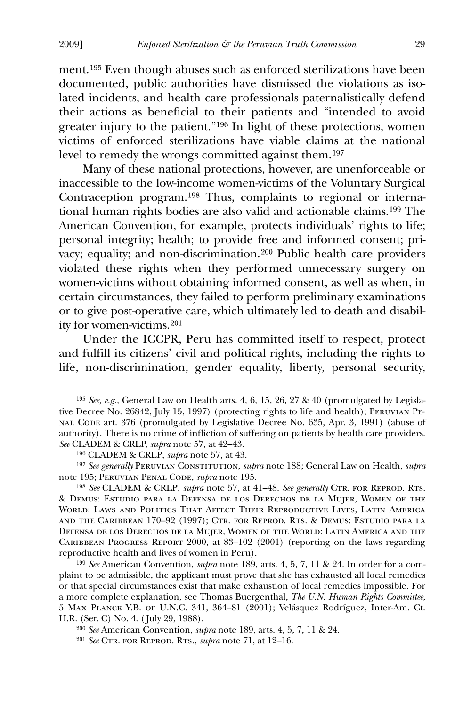ment.[1](#page-29-0)95 Even though abuses such as enforced sterilizations have been documented, public authorities have dismissed the violations as isolated incidents, and health care professionals paternalistically defend their actions as beneficial to their patients and "intended to avoid greater injury to the patient."[1](#page-29-1)96 In light of these protections, women victims of enforced sterilizations have viable claims at the national level to remedy the wrongs committed against them.[1](#page-29-2)97

 Many of these national protections, however, are unenforceable or inaccessible to the low-income women-victims of the Voluntary Surgical Contraception program.[19](#page-29-3)8 Thus, complaints to regional or international human rights bodies are also valid and actionable claims.[19](#page-29-4)9 The American Convention, for example, protects individuals' rights to life; personal integrity; health; to provide free and informed consent; privacy; equality; and non-discrimination.[20](#page-29-5)0 Public health care providers violated these rights when they performed unnecessary surgery on women-victims without obtaining informed consent, as well as when, in certain circumstances, they failed to perform preliminary examinations or to give post-operative care, which ultimately led to death and disability for women-victims.[20](#page-29-6)1

 Under the ICCPR, Peru has committed itself to respect, protect and fulfill its citizens' civil and political rights, including the rights to life, non-discrimination, gender equality, liberty, personal security,

<span id="page-29-3"></span>198 *See* CLADEM & CRLP, *supra* note 57, at 41–48. *See generally* Ctr. for Reprod. Rts. & Demus: Estudio para la Defensa de los Derechos de la Mujer, Women of the World: Laws and Politics That Affect Their Reproductive Lives, Latin America and the Caribbean 170–92 (1997); Ctr. for Reprod. Rts. & Demus: Estudio para la Defensa de los Derechos de la Mujer, Women of the World: Latin America and the Caribbean Progress Report 2000, at 83–102 (2001) (reporting on the laws regarding reproductive health and lives of women in Peru).

<span id="page-29-4"></span>199 *See* American Convention, *supra* note 189, arts. 4, 5, 7, 11 & 24. In order for a complaint to be admissible, the applicant must prove that she has exhausted all local remedies or that special circumstances exist that make exhaustion of local remedies impossible. For a more complete explanation, see Thomas Buergenthal, *The U.N. Human Rights Committee*, 5 Max Planck Y.B. of U.N.C. 341, 364–81 (2001); Velásquez Rodríguez, Inter-Am. Ct. H.R. (Ser. C) No. 4. ( July 29, 1988).

<span id="page-29-0"></span><sup>195</sup> *See, e.g.*, General Law on Health arts. 4, 6, 15, 26, 27 & 40 (promulgated by Legislative Decree No. 26842, July 15, 1997) (protecting rights to life and health); Peruvian Penal Code art. 376 (promulgated by Legislative Decree No. 635, Apr. 3, 1991) (abuse of authority). There is no crime of infliction of suffering on patients by health care providers. *See* CLADEM & CRLP, *supra* note 57, at 42–43.

<sup>196</sup> CLADEM & CRLP, *supra* note 57, at 43.

<span id="page-29-2"></span><span id="page-29-1"></span><sup>197</sup> *See generally* Peruvian Constitution, *supra* note 188; General Law on Health, *supra*  note 195; Peruvian Penal Code, *supra* note 195.

<span id="page-29-5"></span><sup>200</sup> *See* American Convention, *supra* note 189, arts. 4, 5, 7, 11 & 24.

<span id="page-29-6"></span><sup>201</sup> *See* Ctr. for Reprod. Rts., *supra* note 71, at 12–16.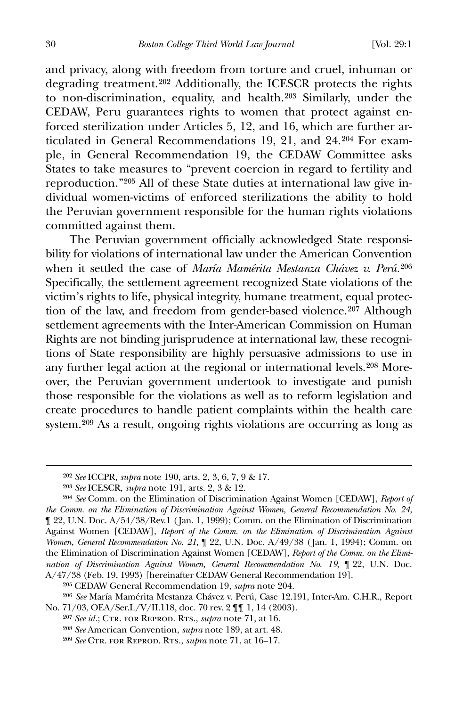and privacy, along with freedom from torture and cruel, inhuman or degrading treatment.[2](#page-30-0)02 Additionally, the ICESCR protects the rights to non-discrimination, equality, and health.[20](#page-30-1)3 Similarly, under the CEDAW, Peru guarantees rights to women that protect against enforced sterilization under Articles 5, 12, and 16, which are further articulated in General Recommendations 19, 21, and 24.[2](#page-30-2)04 For example, in General Recommendation 19, the CEDAW Committee asks States to take measures to "prevent coercion in regard to fertility and reproduction."[2](#page-30-3)05 All of these State duties at international law give individual women-victims of enforced sterilizations the ability to hold the Peruvian government responsible for the human rights violations committed against them.

 The Peruvian government officially acknowledged State responsibility for violations of international law under the American Convention when it settled the case of *María Mamérita Mestanza Chávez v. Perú.*[20](#page-30-4)6 Specifically, the settlement agreement recognized State violations of the victim's rights to life, physical integrity, humane treatment, equal protec-tion of the law, and freedom from gender-based violence.<sup>[20](#page-30-5)7</sup> Although settlement agreements with the Inter-American Commission on Human Rights are not binding jurisprudence at international law, these recognitions of State responsibility are highly persuasive admissions to use in any further legal action at the regional or international levels.[20](#page-30-6)8 Moreover, the Peruvian government undertook to investigate and punish those responsible for the violations as well as to reform legislation and create procedures to handle patient complaints within the health care system.[20](#page-30-7)9 As a result, ongoing rights violations are occurring as long as

<sup>202</sup> *See* ICCPR, *supra* note 190, arts. 2, 3, 6, 7, 9 & 17.

<sup>203</sup> *See* ICESCR, *supra* note 191, arts. 2, 3 & 12.

<span id="page-30-2"></span><span id="page-30-1"></span><span id="page-30-0"></span><sup>204</sup> *See* Comm. on the Elimination of Discrimination Against Women [CEDAW], *Report of the Comm. on the Elimination of Discrimination Against Women, General Recommendation No. 24*, ¶ 22, U.N. Doc. A/54/38/Rev.1 ( Jan. 1, 1999); Comm. on the Elimination of Discrimination Against Women [CEDAW], *Report of the Comm. on the Elimination of Discrimination Against Women, General Recommendation No. 21*, ¶ 22, U.N. Doc. A/49/38 ( Jan. 1, 1994); Comm. on the Elimination of Discrimination Against Women [CEDAW], *Report of the Comm. on the Elimination of Discrimination Against Women, General Recommendation No. 19*, ¶ 22, U.N. Doc. A/47/38 (Feb. 19, 1993) [hereinafter CEDAW General Recommendation 19].

<sup>205</sup> CEDAW General Recommendation 19, *supra* note 204.

<span id="page-30-6"></span><span id="page-30-5"></span><span id="page-30-4"></span><span id="page-30-3"></span><sup>206</sup> *See* María Mamérita Mestanza Chávez v. Perú, Case 12.191, Inter-Am. C.H.R., Report No. 71/03, OEA/Ser.L/V/II.118, doc. 70 rev. 2 ¶¶ 1, 14 (2003).

<sup>&</sup>lt;sup>207</sup> *See id.*; CTR. FOR REPROD. RTS., *supra* note 71, at 16.

<span id="page-30-7"></span><sup>208</sup> *See* American Convention, *supra* note 189, at art. 48.

<sup>209</sup> *See* Ctr. for Reprod. Rts., *supra* note 71, at 16–17.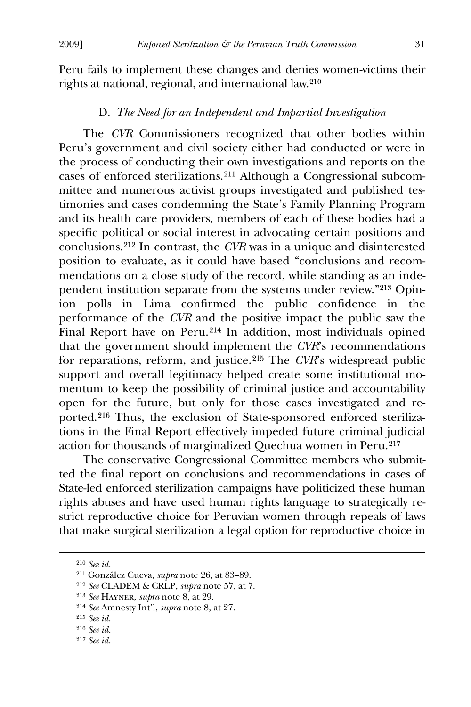Peru fails to implement these changes and denies women-victims their rights at national, regional, and international law.[2](#page-31-0)10

## D. *The Need for an Independent and Impartial Investigation*

 The *CVR* Commissioners recognized that other bodies within Peru's government and civil society either had conducted or were in the process of conducting their own investigations and reports on the cases of enforced sterilizations.[2](#page-31-1)11 Although a Congressional subcommittee and numerous activist groups investigated and published testimonies and cases condemning the State's Family Planning Program and its health care providers, members of each of these bodies had a specific political or social interest in advocating certain positions and conclusions.[2](#page-31-2)12 In contrast, the *CVR* was in a unique and disinterested position to evaluate, as it could have based "conclusions and recommendations on a close study of the record, while standing as an independent institution separate from the systems under review."[21](#page-31-3)3 Opinion polls in Lima confirmed the public confidence in the performance of the *CVR* and the positive impact the public saw the Final Report have on Peru.[21](#page-31-4)4 In addition, most individuals opined that the government should implement the *CVR*'s recommendations for reparations, reform, and justice.[21](#page-31-5)5 The *CVR*'s widespread public support and overall legitimacy helped create some institutional momentum to keep the possibility of criminal justice and accountability open for the future, but only for those cases investigated and reported.[2](#page-31-6)16 Thus, the exclusion of State-sponsored enforced sterilizations in the Final Report effectively impeded future criminal judicial action for thousands of marginalized Quechua women in Peru.[2](#page-31-7)17

 The conservative Congressional Committee members who submitted the final report on conclusions and recommendations in cases of State-led enforced sterilization campaigns have politicized these human rights abuses and have used human rights language to strategically restrict reproductive choice for Peruvian women through repeals of laws that make surgical sterilization a legal option for reproductive choice in

<span id="page-31-0"></span><sup>210</sup> *See id.*

<span id="page-31-1"></span><sup>211</sup> González Cueva, *supra* note 26, at 83–89.

<span id="page-31-3"></span><span id="page-31-2"></span><sup>212</sup> *See* CLADEM & CRLP, *supra* note 57, at 7.

<sup>213</sup> *See* Hayner, *supra* note 8, at 29.

<span id="page-31-4"></span><sup>214</sup> *See* Amnesty Int'l, *supra* note 8, at 27.

<span id="page-31-5"></span><sup>215</sup> *See id.*

<span id="page-31-6"></span><sup>216</sup> *See id.*

<span id="page-31-7"></span><sup>217</sup> *See id.*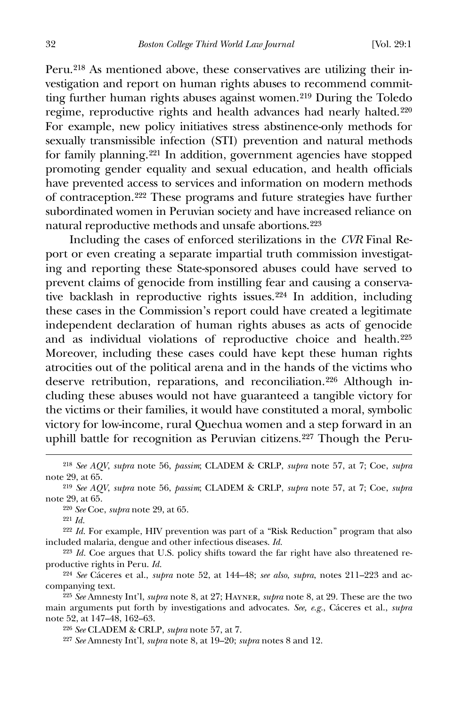Peru.[21](#page-32-0)8 As mentioned above, these conservatives are utilizing their investigation and report on human rights abuses to recommend committing further human rights abuses against women.[21](#page-32-1)9 During the Toledo regime, reproductive rights and health advances had nearly halted.<sup>[22](#page-32-2)0</sup> For example, new policy initiatives stress abstinence-only methods for sexually transmissible infection (STI) prevention and natural methods for family planning.[2](#page-32-3)21 In addition, government agencies have stopped promoting gender equality and sexual education, and health officials have prevented access to services and information on modern methods of contraception.[2](#page-32-4)22 These programs and future strategies have further subordinated women in Peruvian society and have increased reliance on natural reproductive methods and unsafe abortions.[22](#page-32-5)3

 Including the cases of enforced sterilizations in the *CVR* Final Report or even creating a separate impartial truth commission investigating and reporting these State-sponsored abuses could have served to prevent claims of genocide from instilling fear and causing a conservative backlash in reproductive rights issues.[2](#page-32-6)24 In addition, including these cases in the Commission's report could have created a legitimate independent declaration of human rights abuses as acts of genocide and as individual violations of reproductive choice and health.[22](#page-32-7)5 Moreover, including these cases could have kept these human rights atrocities out of the political arena and in the hands of the victims who deserve retribution, reparations, and reconciliation.[2](#page-32-8)26 Although including these abuses would not have guaranteed a tangible victory for the victims or their families, it would have constituted a moral, symbolic victory for low-income, rural Quechua women and a step forward in an uphill battle for recognition as Peruvian citizens.[2](#page-32-9)27 Though the Peru-

220 *See* Coe, *supra* note 29, at 65.

221 *Id.*

 $\overline{a}$ 

<span id="page-32-4"></span><span id="page-32-3"></span>222 *Id.* For example, HIV prevention was part of a "Risk Reduction" program that also included malaria, dengue and other infectious diseases. *Id.*

<span id="page-32-5"></span>223 *Id.* Coe argues that U.S. policy shifts toward the far right have also threatened reproductive rights in Peru. *Id.*

<span id="page-32-6"></span>224 *See* Cáceres et al., *supra* note 52, at 144–48; *see also*, *supra*, notes 211–223 and accompanying text.

<span id="page-32-9"></span><span id="page-32-8"></span><span id="page-32-7"></span>225 *See* Amnesty Int'l, *supra* note 8, at 27; Hayner, *supra* note 8, at 29. These are the two main arguments put forth by investigations and advocates. *See, e.g.*, Cáceres et al., *supra*  note 52, at 147–48, 162–63.

226 *See* CLADEM & CRLP, *supra* note 57, at 7.

227 *See* Amnesty Int'l, *supra* note 8, at 19–20; *supra* notes 8 and 12.

<span id="page-32-0"></span><sup>218</sup> *See AQV*, *supra* note 56, *passim*; CLADEM & CRLP, *supra* note 57, at 7; Coe, *supra* note 29, at 65.

<span id="page-32-2"></span><span id="page-32-1"></span><sup>219</sup> *See AQV*, *supra* note 56, *passim*; CLADEM & CRLP, *supra* note 57, at 7; Coe, *supra* note 29, at 65.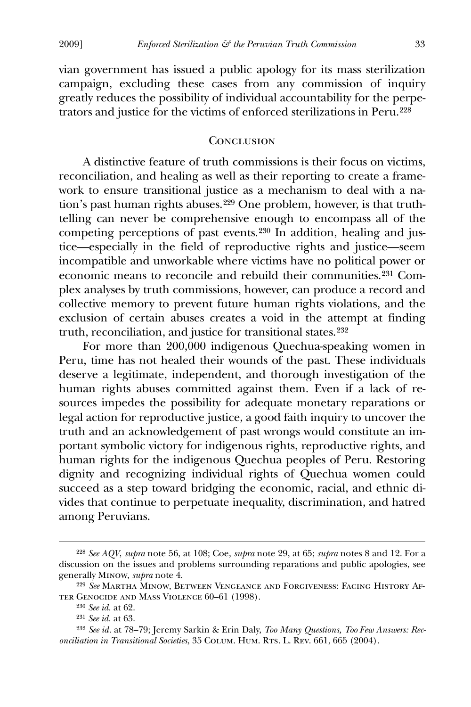vian government has issued a public apology for its mass sterilization campaign, excluding these cases from any commission of inquiry greatly reduces the possibility of individual accountability for the perpetrators and justice for the victims of enforced sterilizations in Peru.[2](#page-33-0)28

## **CONCLUSION**

 A distinctive feature of truth commissions is their focus on victims, reconciliation, and healing as well as their reporting to create a framework to ensure transitional justice as a mechanism to deal with a nation's past human rights abuses.[2](#page-33-1)29 One problem, however, is that truthtelling can never be comprehensive enough to encompass all of the competing perceptions of past events.[23](#page-33-2)0 In addition, healing and justice—especially in the field of reproductive rights and justice—seem incompatible and unworkable where victims have no political power or economic means to reconcile and rebuild their communities.[23](#page-33-3)1 Complex analyses by truth commissions, however, can produce a record and collective memory to prevent future human rights violations, and the exclusion of certain abuses creates a void in the attempt at finding truth, reconciliation, and justice for transitional states.<sup>[2](#page-33-4)32</sup>

 For more than 200,000 indigenous Quechua-speaking women in Peru, time has not healed their wounds of the past. These individuals deserve a legitimate, independent, and thorough investigation of the human rights abuses committed against them. Even if a lack of resources impedes the possibility for adequate monetary reparations or legal action for reproductive justice, a good faith inquiry to uncover the truth and an acknowledgement of past wrongs would constitute an important symbolic victory for indigenous rights, reproductive rights, and human rights for the indigenous Quechua peoples of Peru. Restoring dignity and recognizing individual rights of Quechua women could succeed as a step toward bridging the economic, racial, and ethnic divides that continue to perpetuate inequality, discrimination, and hatred among Peruvians.

<span id="page-33-0"></span><sup>228</sup> *See AQV*, *supra* note 56, at 108; Coe, *supra* note 29, at 65; *supra* notes 8 and 12. For a discussion on the issues and problems surrounding reparations and public apologies, see generally Minow, *supra* note 4.

<span id="page-33-2"></span><span id="page-33-1"></span><sup>229</sup> *See* Martha Minow, Between Vengeance and Forgiveness: Facing History After Genocide and Mass Violence 60–61 (1998).

<sup>230</sup> *See id.* at 62.

<sup>231</sup> *See id.* at 63.

<span id="page-33-4"></span><span id="page-33-3"></span><sup>232</sup> *See id.* at 78–79; Jeremy Sarkin & Erin Daly, *Too Many Questions, Too Few Answers: Reconciliation in Transitional Societies*, 35 Colum. Hum. Rts. L. Rev. 661, 665 (2004).